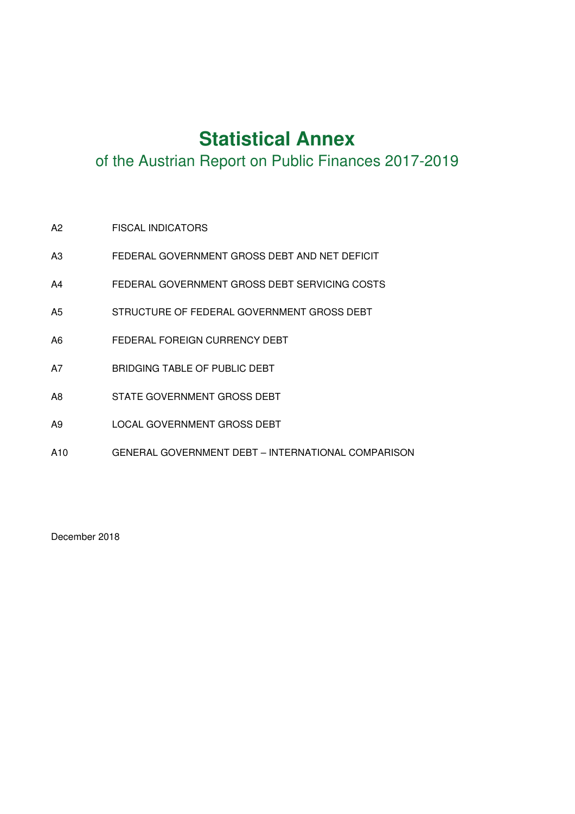# **Statistical Annex**

of the Austrian Report on Public Finances 2017-2019

- A2 FISCAL INDICATORS
- A3 FEDERAL GOVERNMENT GROSS DEBT AND NET DEFICIT
- A4 FEDERAL GOVERNMENT GROSS DEBT SERVICING COSTS
- A5 STRUCTURE OF FEDERAL GOVERNMENT GROSS DEBT
- A6 FEDERAL FOREIGN CURRENCY DEBT
- A7 BRIDGING TABLE OF PUBLIC DEBT
- A8 STATE GOVERNMENT GROSS DEBT
- A9 LOCAL GOVERNMENT GROSS DEBT
- A10 GENERAL GOVERNMENT DEBT INTERNATIONAL COMPARISON

December 2018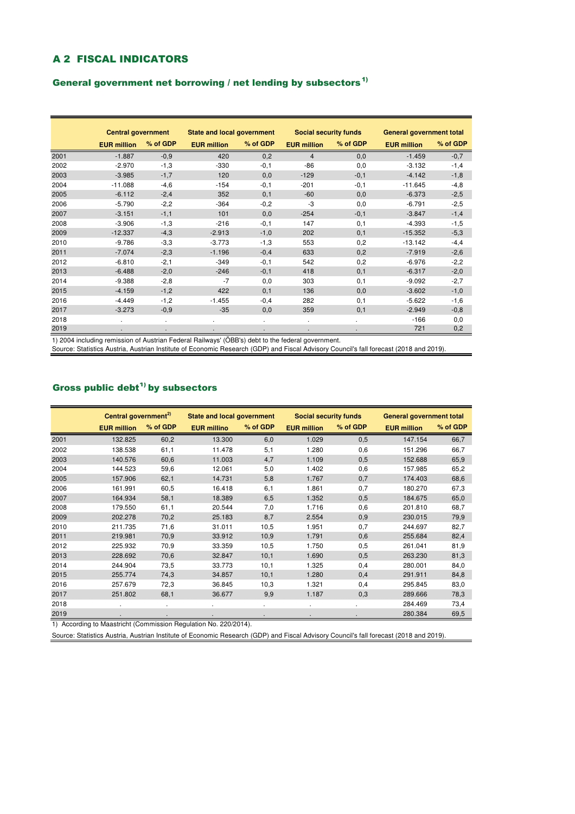## A 2 FISCAL INDICATORS

#### General government net borrowing  $/$  net lending by subsectors<sup>1)</sup>

|      | <b>Central government</b> |          | <b>State and local government</b> |          | <b>Social security funds</b> |          | General government total |          |
|------|---------------------------|----------|-----------------------------------|----------|------------------------------|----------|--------------------------|----------|
|      | <b>EUR million</b>        | % of GDP | <b>EUR million</b>                | % of GDP | <b>EUR million</b>           | % of GDP | <b>EUR million</b>       | % of GDP |
| 2001 | $-1.887$                  | $-0.9$   | 420                               | 0,2      | 4                            | 0,0      | $-1.459$                 | $-0,7$   |
| 2002 | $-2.970$                  | $-1,3$   | $-330$                            | $-0,1$   | $-86$                        | 0,0      | $-3.132$                 | $-1,4$   |
| 2003 | $-3.985$                  | $-1,7$   | 120                               | 0,0      | $-129$                       | $-0,1$   | $-4.142$                 | $-1,8$   |
| 2004 | $-11.088$                 | $-4,6$   | $-154$                            | $-0,1$   | $-201$                       | $-0,1$   | $-11.645$                | $-4,8$   |
| 2005 | $-6.112$                  | $-2,4$   | 352                               | 0,1      | $-60$                        | 0,0      | $-6.373$                 | $-2,5$   |
| 2006 | $-5.790$                  | $-2,2$   | $-364$                            | $-0,2$   | -3                           | 0,0      | $-6.791$                 | $-2,5$   |
| 2007 | $-3.151$                  | $-1,1$   | 101                               | 0,0      | $-254$                       | $-0,1$   | $-3.847$                 | $-1,4$   |
| 2008 | $-3.906$                  | $-1,3$   | $-216$                            | $-0,1$   | 147                          | 0,1      | $-4.393$                 | $-1,5$   |
| 2009 | $-12.337$                 | $-4,3$   | $-2.913$                          | $-1,0$   | 202                          | 0,1      | $-15.352$                | $-5,3$   |
| 2010 | $-9.786$                  | $-3.3$   | $-3.773$                          | $-1,3$   | 553                          | 0,2      | $-13.142$                | $-4,4$   |
| 2011 | $-7.074$                  | $-2,3$   | $-1.196$                          | $-0,4$   | 633                          | 0,2      | $-7.919$                 | $-2,6$   |
| 2012 | $-6.810$                  | $-2,1$   | $-349$                            | $-0,1$   | 542                          | 0,2      | $-6.976$                 | $-2,2$   |
| 2013 | $-6.488$                  | $-2,0$   | $-246$                            | $-0,1$   | 418                          | 0,1      | $-6.317$                 | $-2,0$   |
| 2014 | $-9.388$                  | $-2,8$   | $-7$                              | 0,0      | 303                          | 0,1      | $-9.092$                 | $-2,7$   |
| 2015 | $-4.159$                  | $-1,2$   | 422                               | 0,1      | 136                          | 0,0      | $-3.602$                 | $-1,0$   |
| 2016 | $-4.449$                  | $-1,2$   | $-1.455$                          | $-0,4$   | 282                          | 0,1      | $-5.622$                 | $-1,6$   |
| 2017 | $-3.273$                  | $-0,9$   | $-35$                             | 0,0      | 359                          | 0,1      | $-2.949$                 | $-0,8$   |
| 2018 |                           |          |                                   |          |                              |          | $-166$                   | 0,0      |
| 2019 |                           |          |                                   |          |                              |          | 721                      | 0,2      |

1) 2004 including remission of Austrian Federal Railways' (ÖBB's) debt to the federal government.

Source: Statistics Austria, Austrian Institute of Economic Research (GDP) and Fiscal Advisory Council's fall forecast (2018 and 2019).

### Gross public debt $^{1)}$  by subsectors

|      | Central government <sup>2)</sup> |          | <b>State and local government</b> |          | <b>Social security funds</b> |          | General government total |          |
|------|----------------------------------|----------|-----------------------------------|----------|------------------------------|----------|--------------------------|----------|
|      | <b>EUR million</b>               | % of GDP | <b>EUR millino</b>                | % of GDP | <b>EUR million</b>           | % of GDP | <b>EUR million</b>       | % of GDP |
| 2001 | 132.825                          | 60,2     | 13.300                            | 6,0      | 1.029                        | 0,5      | 147.154                  | 66,7     |
| 2002 | 138.538                          | 61,1     | 11.478                            | 5,1      | 1.280                        | 0,6      | 151.296                  | 66,7     |
| 2003 | 140.576                          | 60,6     | 11.003                            | 4,7      | 1.109                        | 0,5      | 152.688                  | 65,9     |
| 2004 | 144.523                          | 59,6     | 12.061                            | 5,0      | 1.402                        | 0,6      | 157.985                  | 65,2     |
| 2005 | 157.906                          | 62,1     | 14.731                            | 5,8      | 1.767                        | 0,7      | 174.403                  | 68,6     |
| 2006 | 161.991                          | 60,5     | 16.418                            | 6,1      | 1.861                        | 0,7      | 180.270                  | 67,3     |
| 2007 | 164.934                          | 58,1     | 18.389                            | 6,5      | 1.352                        | 0,5      | 184.675                  | 65,0     |
| 2008 | 179.550                          | 61,1     | 20.544                            | 7,0      | 1.716                        | 0,6      | 201.810                  | 68,7     |
| 2009 | 202.278                          | 70,2     | 25.183                            | 8,7      | 2.554                        | 0,9      | 230.015                  | 79,9     |
| 2010 | 211.735                          | 71,6     | 31.011                            | 10,5     | 1.951                        | 0,7      | 244.697                  | 82,7     |
| 2011 | 219.981                          | 70,9     | 33.912                            | 10,9     | 1.791                        | 0,6      | 255.684                  | 82,4     |
| 2012 | 225.932                          | 70,9     | 33.359                            | 10,5     | 1.750                        | 0,5      | 261.041                  | 81,9     |
| 2013 | 228.692                          | 70,6     | 32.847                            | 10,1     | 1.690                        | 0,5      | 263.230                  | 81,3     |
| 2014 | 244.904                          | 73,5     | 33.773                            | 10,1     | 1.325                        | 0,4      | 280.001                  | 84,0     |
| 2015 | 255.774                          | 74,3     | 34.857                            | 10,1     | 1.280                        | 0,4      | 291.911                  | 84,8     |
| 2016 | 257.679                          | 72,3     | 36.845                            | 10,3     | 1.321                        | 0,4      | 295.845                  | 83,0     |
| 2017 | 251.802                          | 68,1     | 36.677                            | 9,9      | 1.187                        | 0,3      | 289.666                  | 78,3     |
| 2018 |                                  |          |                                   |          |                              |          | 284.469                  | 73,4     |
| 2019 |                                  |          |                                   |          |                              |          | 280.384                  | 69,5     |

1) According to Maastricht (Commission Regulation No. 220/2014).

Source: Statistics Austria, Austrian Institute of Economic Research (GDP) and Fiscal Advisory Council's fall forecast (2018 and 2019).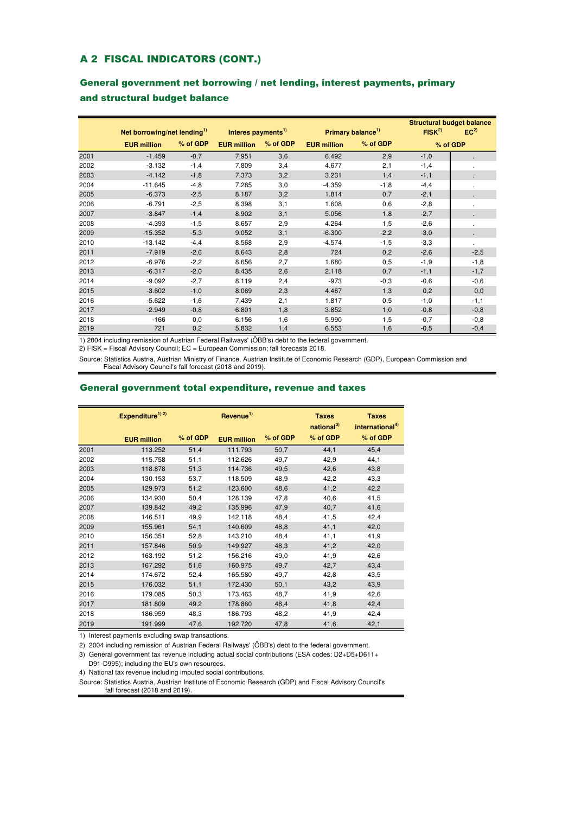#### A 2 FISCAL INDICATORS (CONT.)

### General government net borrowing / net lending, interest payments, primary and structural budget balance

|      |                                         |          |                                |          | <b>Structural budget balance</b> |                               |            |                 |
|------|-----------------------------------------|----------|--------------------------------|----------|----------------------------------|-------------------------------|------------|-----------------|
|      | Net borrowing/net lending <sup>1)</sup> |          | Interes payments <sup>1)</sup> |          |                                  | Primary balance <sup>1)</sup> | $FISK^{2}$ | EC <sup>2</sup> |
|      | <b>EUR million</b>                      | % of GDP | <b>EUR million</b>             | % of GDP | <b>EUR</b> million               | % of GDP                      |            | % of GDP        |
| 2001 | $-1.459$                                | $-0,7$   | 7.951                          | 3,6      | 6.492                            | 2,9                           | $-1,0$     |                 |
| 2002 | $-3.132$                                | $-1,4$   | 7.809                          | 3,4      | 4.677                            | 2,1                           | $-1,4$     |                 |
| 2003 | $-4.142$                                | $-1,8$   | 7.373                          | 3,2      | 3.231                            | 1,4                           | $-1,1$     |                 |
| 2004 | $-11.645$                               | $-4,8$   | 7.285                          | 3,0      | $-4.359$                         | $-1,8$                        | $-4,4$     |                 |
| 2005 | $-6.373$                                | $-2,5$   | 8.187                          | 3,2      | 1.814                            | 0,7                           | $-2,1$     |                 |
| 2006 | $-6.791$                                | $-2,5$   | 8.398                          | 3,1      | 1.608                            | 0,6                           | $-2,8$     |                 |
| 2007 | $-3.847$                                | $-1,4$   | 8.902                          | 3,1      | 5.056                            | 1,8                           | $-2,7$     |                 |
| 2008 | $-4.393$                                | $-1,5$   | 8.657                          | 2,9      | 4.264                            | 1,5                           | $-2,6$     |                 |
| 2009 | $-15.352$                               | $-5,3$   | 9.052                          | 3,1      | $-6.300$                         | $-2,2$                        | $-3,0$     |                 |
| 2010 | $-13.142$                               | $-4,4$   | 8.568                          | 2,9      | $-4.574$                         | $-1,5$                        | $-3,3$     |                 |
| 2011 | $-7.919$                                | $-2,6$   | 8.643                          | 2,8      | 724                              | 0,2                           | $-2,6$     | $-2,5$          |
| 2012 | $-6.976$                                | $-2,2$   | 8.656                          | 2,7      | 1.680                            | 0,5                           | $-1,9$     | $-1,8$          |
| 2013 | $-6.317$                                | $-2,0$   | 8.435                          | 2,6      | 2.118                            | 0,7                           | $-1,1$     | $-1,7$          |
| 2014 | $-9.092$                                | $-2,7$   | 8.119                          | 2,4      | $-973$                           | $-0,3$                        | $-0,6$     | $-0,6$          |
| 2015 | $-3.602$                                | $-1,0$   | 8.069                          | 2,3      | 4.467                            | 1,3                           | 0,2        | 0,0             |
| 2016 | $-5.622$                                | $-1,6$   | 7.439                          | 2,1      | 1.817                            | 0,5                           | $-1,0$     | $-1,1$          |
| 2017 | $-2.949$                                | $-0,8$   | 6.801                          | 1,8      | 3.852                            | 1,0                           | $-0,8$     | $-0,8$          |
| 2018 | $-166$                                  | 0,0      | 6.156                          | 1,6      | 5.990                            | 1,5                           | $-0,7$     | $-0,8$          |
| 2019 | 721                                     | 0,2      | 5.832                          | 1,4      | 6.553                            | 1,6                           | $-0,5$     | $-0,4$          |

1) 2004 including remission of Austrian Federal Railways' (ÖBB's) debt to the federal government.

2) FISK = Fiscal Advisory Council; EC = European Commission; fall forecasts 2018.

Source: Statistics Austria, Austrian Ministry of Finance, Austrian Institute of Economic Research (GDP), European Commission and Fiscal Advisory Council's fall forecast (2018 and 2019).

#### General government total expenditure, revenue and taxes

|      | Expenditure <sup>1)</sup> <sup>2)</sup> |          | Revenue <sup>1)</sup> |          | <b>Taxes</b><br>national <sup>3)</sup> | <b>Taxes</b><br>international <sup>4)</sup> |
|------|-----------------------------------------|----------|-----------------------|----------|----------------------------------------|---------------------------------------------|
|      | <b>EUR million</b>                      | % of GDP | <b>EUR million</b>    | % of GDP | % of GDP                               | % of GDP                                    |
| 2001 | 113.252                                 | 51,4     | 111.793               | 50,7     | 44,1                                   | 45,4                                        |
| 2002 | 115.758                                 | 51,1     | 112.626               | 49,7     | 42,9                                   | 44,1                                        |
| 2003 | 118.878                                 | 51,3     | 114.736               | 49,5     | 42,6                                   | 43,8                                        |
| 2004 | 130.153                                 | 53,7     | 118.509               | 48,9     | 42,2                                   | 43,3                                        |
| 2005 | 129.973                                 | 51,2     | 123.600               | 48,6     | 41,2                                   | 42,2                                        |
| 2006 | 134.930                                 | 50,4     | 128.139               | 47,8     | 40,6                                   | 41,5                                        |
| 2007 | 139.842                                 | 49,2     | 135.996               | 47,9     | 40,7                                   | 41,6                                        |
| 2008 | 146.511                                 | 49,9     | 142.118               | 48,4     | 41,5                                   | 42,4                                        |
| 2009 | 155.961                                 | 54,1     | 140.609               | 48,8     | 41,1                                   | 42,0                                        |
| 2010 | 156.351                                 | 52,8     | 143.210               | 48,4     | 41,1                                   | 41,9                                        |
| 2011 | 157.846                                 | 50,9     | 149.927               | 48,3     | 41,2                                   | 42,0                                        |
| 2012 | 163.192                                 | 51,2     | 156.216               | 49,0     | 41,9                                   | 42,6                                        |
| 2013 | 167.292                                 | 51,6     | 160.975               | 49,7     | 42,7                                   | 43,4                                        |
| 2014 | 174.672                                 | 52,4     | 165.580               | 49,7     | 42,8                                   | 43,5                                        |
| 2015 | 176.032                                 | 51,1     | 172.430               | 50,1     | 43,2                                   | 43,9                                        |
| 2016 | 179.085                                 | 50,3     | 173.463               | 48,7     | 41,9                                   | 42,6                                        |
| 2017 | 181.809                                 | 49,2     | 178.860               | 48,4     | 41,8                                   | 42,4                                        |
| 2018 | 186.959                                 | 48,3     | 186.793               | 48,2     | 41,9                                   | 42,4                                        |
| 2019 | 191.999                                 | 47,6     | 192.720               | 47,8     | 41,6                                   | 42,1                                        |

1) Interest payments excluding swap transactions.

2) 2004 including remission of Austrian Federal Railways' (ÖBB's) debt to the federal government.

3) General government tax revenue including actual social contributions (ESA codes: D2+D5+D611+

D91-D995); including the EU's own resources.

4) National tax revenue including imputed social contributions.

Source: Statistics Austria, Austrian Institute of Economic Research (GDP) and Fiscal Advisory Council's fall forecast (2018 and 2019).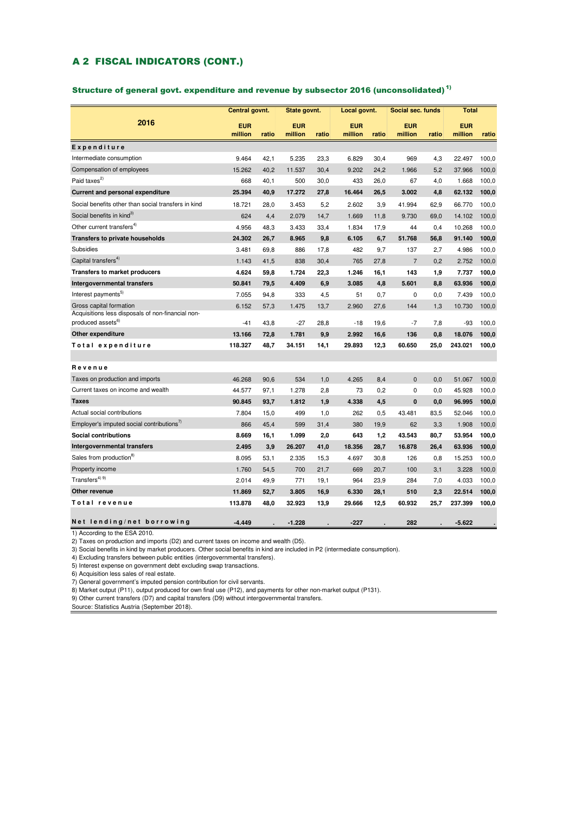#### A 2 FISCAL INDICATORS (CONT.)

#### Structure of general govt. expenditure and revenue by subsector 2016 (unconsolidated)<sup>1)</sup>

|                                                                              | Central govnt.        |       | State govnt.          |       | Local govnt.          |       | Social sec. funds     |       | <b>Total</b>          |       |
|------------------------------------------------------------------------------|-----------------------|-------|-----------------------|-------|-----------------------|-------|-----------------------|-------|-----------------------|-------|
| 2016                                                                         | <b>EUR</b><br>million | ratio | <b>EUR</b><br>million | ratio | <b>EUR</b><br>million | ratio | <b>EUR</b><br>million | ratio | <b>EUR</b><br>million | ratio |
| Expenditure                                                                  |                       |       |                       |       |                       |       |                       |       |                       |       |
| Intermediate consumption                                                     | 9.464                 | 42,1  | 5.235                 | 23,3  | 6.829                 | 30,4  | 969                   | 4,3   | 22.497                | 100,0 |
| Compensation of employees                                                    | 15.262                | 40.2  | 11.537                | 30,4  | 9.202                 | 24,2  | 1.966                 | 5,2   | 37.966                | 100,0 |
| Paid taxes <sup>2)</sup>                                                     | 668                   | 40,1  | 500                   | 30,0  | 433                   | 26,0  | 67                    | 4,0   | 1.668                 | 100,0 |
| Current and personal expenditure                                             | 25.394                | 40,9  | 17.272                | 27,8  | 16.464                | 26,5  | 3.002                 | 4,8   | 62.132                | 100,0 |
| Social benefits other than social transfers in kind                          | 18.721                | 28,0  | 3.453                 | 5,2   | 2.602                 | 3,9   | 41.994                | 62,9  | 66.770                | 100,0 |
| Social benefits in kind <sup>3)</sup>                                        | 624                   | 4,4   | 2.079                 | 14,7  | 1.669                 | 11,8  | 9.730                 | 69,0  | 14.102                | 100,0 |
| Other current transfers <sup>4)</sup>                                        | 4.956                 | 48,3  | 3.433                 | 33,4  | 1.834                 | 17,9  | 44                    | 0,4   | 10.268                | 100,0 |
| Transfers to private households                                              | 24.302                | 26,7  | 8.965                 | 9,8   | 6.105                 | 6,7   | 51.768                | 56,8  | 91.140                | 100,0 |
| Subsidies                                                                    | 3.481                 | 69,8  | 886                   | 17,8  | 482                   | 9,7   | 137                   | 2,7   | 4.986                 | 100,0 |
| Capital transfers <sup>4)</sup>                                              | 1.143                 | 41,5  | 838                   | 30,4  | 765                   | 27,8  | $\overline{7}$        | 0,2   | 2.752                 | 100,0 |
| <b>Transfers to market producers</b>                                         | 4.624                 | 59,8  | 1.724                 | 22,3  | 1.246                 | 16,1  | 143                   | 1,9   | 7.737                 | 100,0 |
| Intergovernmental transfers                                                  | 50.841                | 79,5  | 4.409                 | 6,9   | 3.085                 | 4,8   | 5.601                 | 8,8   | 63.936                | 100,0 |
| Interest payments <sup>5)</sup>                                              | 7.055                 | 94,8  | 333                   | 4,5   | 51                    | 0,7   | 0                     | 0,0   | 7.439                 | 100,0 |
| Gross capital formation<br>Acquisitions less disposals of non-financial non- | 6.152                 | 57,3  | 1.475                 | 13,7  | 2.960                 | 27,6  | 144                   | 1,3   | 10.730                | 100,0 |
| produced assets <sup>6)</sup>                                                | $-41$                 | 43,8  | $-27$                 | 28,8  | $-18$                 | 19,6  | -7                    | 7,8   | $-93$                 | 100,0 |
| Other expenditure                                                            | 13.166                | 72,8  | 1.781                 | 9.9   | 2.992                 | 16,6  | 136                   | 0,8   | 18.076                | 100,0 |
| Total expenditure                                                            | 118.327               | 48,7  | 34.151                | 14,1  | 29.893                | 12,3  | 60.650                | 25,0  | 243.021               | 100,0 |
| Revenue                                                                      |                       |       |                       |       |                       |       |                       |       |                       |       |
| Taxes on production and imports                                              | 46.268                | 90,6  | 534                   | 1,0   | 4.265                 | 8,4   | $\mathbf{0}$          | 0,0   | 51.067                | 100,0 |
| Current taxes on income and wealth                                           | 44.577                | 97,1  | 1.278                 | 2,8   | 73                    | 0,2   | 0                     | 0,0   | 45.928                | 100,0 |
| <b>Taxes</b>                                                                 | 90.845                | 93,7  | 1.812                 | 1,9   | 4.338                 | 4,5   | 0                     | 0,0   | 96.995                | 100,0 |
| Actual social contributions                                                  | 7.804                 | 15,0  | 499                   | 1,0   | 262                   | 0.5   | 43.481                | 83,5  | 52.046                | 100,0 |
| Employer's imputed social contributions"                                     | 866                   | 45,4  | 599                   | 31,4  | 380                   | 19,9  | 62                    | 3,3   | 1.908                 | 100,0 |
| <b>Social contributions</b>                                                  | 8.669                 | 16,1  | 1.099                 | 2,0   | 643                   | 1,2   | 43.543                | 80,7  | 53.954                | 100,0 |
| Intergovernmental transfers                                                  | 2.495                 | 3,9   | 26.207                | 41,0  | 18.356                | 28,7  | 16.878                | 26,4  | 63.936                | 100,0 |
| Sales from production <sup>8)</sup>                                          | 8.095                 | 53,1  | 2.335                 | 15,3  | 4.697                 | 30,8  | 126                   | 0,8   | 15.253                | 100,0 |
| Property income                                                              | 1.760                 | 54,5  | 700                   | 21,7  | 669                   | 20,7  | 100                   | 3,1   | 3.228                 | 100,0 |
| Transfers <sup>4) 9)</sup>                                                   | 2.014                 | 49,9  | 771                   | 19,1  | 964                   | 23,9  | 284                   | 7,0   | 4.033                 | 100,0 |
| Other revenue                                                                | 11.869                | 52,7  | 3.805                 | 16,9  | 6.330                 | 28,1  | 510                   | 2,3   | 22.514                | 100,0 |
| Total revenue                                                                | 113.878               | 48,0  | 32.923                | 13,9  | 29.666                | 12,5  | 60.932                | 25,7  | 237.399               | 100,0 |
| Net lending/net borrowing                                                    | $-4.449$              |       | $-1.228$              |       | $-227$                |       | 282                   |       | $-5.622$              |       |

1) According to the ESA 2010.

2) Taxes on production and imports (D2) and current taxes on income and wealth (D5).

3) Social benefits in kind by market producers. Other social benefits in kind are included in P2 (intermediate consumption).

4) Excluding transfers between public entities (intergovernmental transfers).

5) Interest expense on government debt excluding swap transactions.

6) Acquisition less sales of real estate.

7) General government's imputed pension contribution for civil servants.

8) Market output (P11), output produced for own final use (P12), and payments for other non-market output (P131).

9) Other current transfers (D7) and capital transfers (D9) without intergovernmental transfers.

Source: Statistics Austria (September 2018).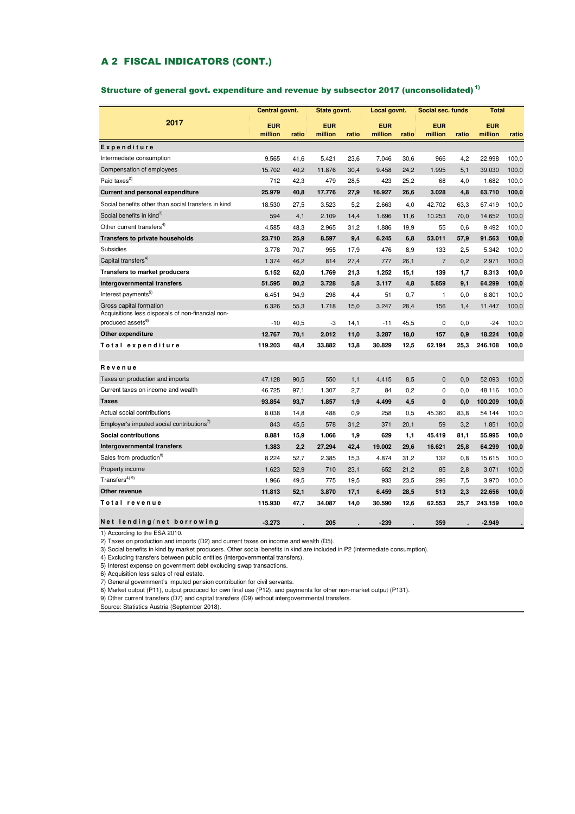#### A 2 FISCAL INDICATORS (CONT.)

#### Structure of general govt. expenditure and revenue by subsector 2017 (unconsolidated) 1)

|                                                                                    | Central govnt.        |       | State govnt.          |       | Local govnt.          |       | Social sec. funds     |       | <b>Total</b>          |       |
|------------------------------------------------------------------------------------|-----------------------|-------|-----------------------|-------|-----------------------|-------|-----------------------|-------|-----------------------|-------|
| 2017                                                                               | <b>EUR</b><br>million | ratio | <b>EUR</b><br>million | ratio | <b>EUR</b><br>million | ratio | <b>EUR</b><br>million | ratio | <b>EUR</b><br>million | ratio |
| Expenditure                                                                        |                       |       |                       |       |                       |       |                       |       |                       |       |
| Intermediate consumption                                                           | 9.565                 | 41,6  | 5.421                 | 23,6  | 7.046                 | 30,6  | 966                   | 4,2   | 22.998                | 100,0 |
| Compensation of employees                                                          | 15.702                | 40.2  | 11.876                | 30.4  | 9.458                 | 24,2  | 1.995                 | 5,1   | 39.030                | 100,0 |
| Paid taxes <sup>2)</sup>                                                           | 712                   | 42,3  | 479                   | 28,5  | 423                   | 25,2  | 68                    | 4,0   | 1.682                 | 100,0 |
| Current and personal expenditure                                                   | 25.979                | 40,8  | 17.776                | 27,9  | 16.927                | 26,6  | 3.028                 | 4,8   | 63.710                | 100,0 |
| Social benefits other than social transfers in kind                                | 18.530                | 27,5  | 3.523                 | 5.2   | 2.663                 | 4,0   | 42.702                | 63.3  | 67.419                | 100,0 |
| Social benefits in kind <sup>3)</sup>                                              | 594                   | 4,1   | 2.109                 | 14,4  | 1.696                 | 11,6  | 10.253                | 70,0  | 14.652                | 100,0 |
| Other current transfers <sup>4)</sup>                                              | 4.585                 | 48,3  | 2.965                 | 31,2  | 1.886                 | 19,9  | 55                    | 0,6   | 9.492                 | 100,0 |
| Transfers to private households                                                    | 23.710                | 25,9  | 8.597                 | 9,4   | 6.245                 | 6,8   | 53.011                | 57,9  | 91.563                | 100,0 |
| Subsidies                                                                          | 3.778                 | 70,7  | 955                   | 17,9  | 476                   | 8,9   | 133                   | 2,5   | 5.342                 | 100,0 |
| Capital transfers <sup>4)</sup>                                                    | 1.374                 | 46,2  | 814                   | 27,4  | 777                   | 26,1  | $\overline{7}$        | 0,2   | 2.971                 | 100,0 |
| <b>Transfers to market producers</b>                                               | 5.152                 | 62,0  | 1.769                 | 21,3  | 1.252                 | 15,1  | 139                   | 1,7   | 8.313                 | 100,0 |
| Intergovernmental transfers                                                        | 51.595                | 80,2  | 3.728                 | 5,8   | 3.117                 | 4,8   | 5.859                 | 9,1   | 64.299                | 100,0 |
| Interest payments <sup>5)</sup>                                                    | 6.451                 | 94,9  | 298                   | 4,4   | 51                    | 0,7   | $\mathbf{1}$          | 0,0   | 6.801                 | 100,0 |
| Gross capital formation                                                            | 6.326                 | 55,3  | 1.718                 | 15,0  | 3.247                 | 28,4  | 156                   | 1,4   | 11.447                | 100,0 |
| Acquisitions less disposals of non-financial non-<br>produced assets <sup>6)</sup> |                       |       |                       |       |                       |       |                       |       |                       |       |
|                                                                                    | $-10$                 | 40,5  | -3                    | 14,1  | $-11$                 | 45,5  | $\mathbf 0$           | 0,0   | $-24$                 | 100,0 |
| Other expenditure                                                                  | 12.767                | 70,1  | 2.012                 | 11,0  | 3.287                 | 18,0  | 157                   | 0,9   | 18.224                | 100,0 |
| Total expenditure                                                                  | 119.203               | 48,4  | 33.882                | 13,8  | 30.829                | 12,5  | 62.194                | 25,3  | 246.108               | 100,0 |
| Revenue                                                                            |                       |       |                       |       |                       |       |                       |       |                       |       |
| Taxes on production and imports                                                    | 47.128                | 90.5  | 550                   | 1.1   | 4.415                 | 8.5   | $\mathbf{0}$          | 0,0   | 52.093                | 100,0 |
| Current taxes on income and wealth                                                 | 46.725                | 97,1  | 1.307                 | 2,7   | 84                    | 0,2   | $\mathbf 0$           | 0,0   | 48.116                | 100,0 |
| <b>Taxes</b>                                                                       | 93.854                | 93.7  | 1.857                 | 1.9   | 4.499                 | 4,5   | $\mathbf{0}$          | 0,0   | 100.209               | 100,0 |
| Actual social contributions                                                        | 8.038                 | 14,8  | 488                   | 0,9   | 258                   | 0.5   | 45.360                | 83,8  | 54.144                | 100,0 |
| Employer's imputed social contributions <sup>7</sup>                               | 843                   | 45,5  | 578                   | 31,2  | 371                   | 20,1  | 59                    | 3,2   | 1.851                 | 100,0 |
| Social contributions                                                               | 8.881                 | 15,9  | 1.066                 | 1,9   | 629                   | 1,1   | 45.419                | 81,1  | 55.995                | 100,0 |
| Intergovernmental transfers                                                        | 1.383                 | 2,2   | 27.294                | 42,4  | 19.002                | 29,6  | 16.621                | 25,8  | 64.299                | 100,0 |
| Sales from production <sup>8)</sup>                                                | 8.224                 | 52,7  | 2.385                 | 15,3  | 4.874                 | 31,2  | 132                   | 0,8   | 15.615                | 100,0 |
| Property income                                                                    | 1.623                 | 52,9  | 710                   | 23,1  | 652                   | 21,2  | 85                    | 2,8   | 3.071                 | 100,0 |
| Transfers <sup>4) 9)</sup>                                                         | 1.966                 | 49,5  | 775                   | 19,5  | 933                   | 23,5  | 296                   | 7,5   | 3.970                 | 100,0 |
| Other revenue                                                                      | 11.813                | 52,1  | 3.870                 | 17,1  | 6.459                 | 28,5  | 513                   | 2,3   | 22.656                | 100,0 |
| Total revenue                                                                      | 115.930               | 47,7  | 34.087                | 14.0  | 30.590                | 12,6  | 62.553                | 25,7  | 243.159               | 100,0 |
|                                                                                    |                       |       |                       |       |                       |       |                       |       |                       |       |
| Net lending/net borrowing                                                          | $-3.273$              |       | 205                   |       | $-239$                |       | 359                   |       | $-2.949$              |       |

1) According to the ESA 2010.

2) Taxes on production and imports (D2) and current taxes on income and wealth (D5).

3) Social benefits in kind by market producers. Other social benefits in kind are included in P2 (intermediate consumption).

4) Excluding transfers between public entities (intergovernmental transfers).

5) Interest expense on government debt excluding swap transactions.

6) Acquisition less sales of real estate.

7) General government's imputed pension contribution for civil servants.

8) Market output (P11), output produced for own final use (P12), and payments for other non-market output (P131).

9) Other current transfers (D7) and capital transfers (D9) without intergovernmental transfers.

Source: Statistics Austria (September 2018).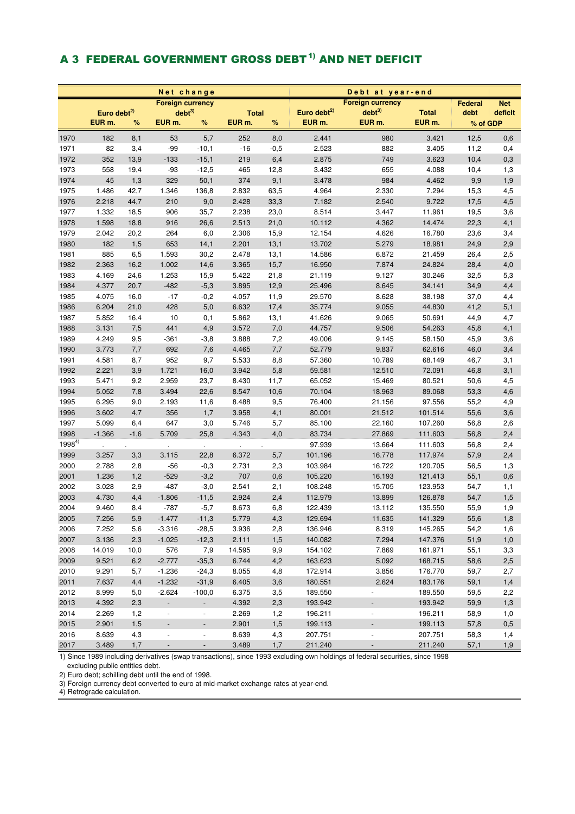# A 3 FEDERAL GOVERNMENT GROSS DEBT<sup>1)</sup> AND NET DEFICIT

|            |                         |        | Net change               |                          |              |        | Debt at year-end        |                          |              |          |            |  |  |  |
|------------|-------------------------|--------|--------------------------|--------------------------|--------------|--------|-------------------------|--------------------------|--------------|----------|------------|--|--|--|
|            |                         |        | <b>Foreign currency</b>  |                          |              |        |                         | <b>Foreign currency</b>  |              | Federal  | <b>Net</b> |  |  |  |
|            | Euro debt <sup>2)</sup> |        | debt <sup>3</sup>        |                          | <b>Total</b> |        | Euro debt <sup>2)</sup> | debt <sup>3</sup>        | <b>Total</b> | debt     | deficit    |  |  |  |
|            | EUR m.                  | %      | EUR <sub>m.</sub>        | %                        | EUR m.       | $\%$   | EUR <sub>m.</sub>       | EUR <sub>m.</sub>        | EUR m.       | % of GDP |            |  |  |  |
| 1970       | 182                     | 8,1    | 53                       | 5,7                      | 252          | 8,0    | 2.441                   | 980                      | 3.421        | 12,5     | 0,6        |  |  |  |
| 1971       | 82                      | 3,4    | $-99$                    | $-10,1$                  | $-16$        | $-0,5$ | 2.523                   | 882                      | 3.405        | 11,2     | 0,4        |  |  |  |
| 1972       | 352                     | 13,9   | $-133$                   | $-15,1$                  | 219          | 6,4    | 2.875                   | 749                      | 3.623        | 10,4     | 0,3        |  |  |  |
| 1973       | 558                     | 19,4   | $-93$                    | $-12,5$                  | 465          | 12,8   | 3.432                   | 655                      | 4.088        | 10,4     | 1,3        |  |  |  |
| 1974       | 45                      | 1,3    | 329                      | 50,1                     | 374          | 9,1    | 3.478                   | 984                      | 4.462        | 9,9      | 1,9        |  |  |  |
| 1975       | 1.486                   | 42,7   | 1.346                    | 136,8                    | 2.832        | 63,5   | 4.964                   | 2.330                    | 7.294        | 15,3     | 4,5        |  |  |  |
| 1976       | 2.218                   | 44,7   | 210                      | 9,0                      | 2.428        | 33,3   | 7.182                   | 2.540                    | 9.722        | 17,5     | 4,5        |  |  |  |
| 1977       | 1.332                   | 18,5   | 906                      | 35,7                     | 2.238        | 23,0   | 8.514                   | 3.447                    | 11.961       | 19,5     | 3,6        |  |  |  |
| 1978       | 1.598                   | 18,8   | 916                      | 26,6                     | 2.513        | 21,0   | 10.112                  | 4.362                    | 14.474       | 22,3     | 4,1        |  |  |  |
| 1979       | 2.042                   | 20,2   | 264                      | 6,0                      | 2.306        | 15,9   | 12.154                  | 4.626                    | 16.780       | 23,6     | 3,4        |  |  |  |
| 1980       | 182                     | 1,5    | 653                      | 14,1                     | 2.201        | 13,1   | 13.702                  | 5.279                    | 18.981       | 24,9     | 2,9        |  |  |  |
| 1981       | 885                     | 6,5    | 1.593                    | 30,2                     | 2.478        | 13,1   | 14.586                  | 6.872                    | 21.459       | 26,4     | 2,5        |  |  |  |
| 1982       | 2.363                   | 16,2   | 1.002                    | 14,6                     | 3.365        | 15,7   | 16.950                  | 7.874                    | 24.824       | 28,4     | 4,0        |  |  |  |
| 1983       | 4.169                   | 24,6   | 1.253                    | 15,9                     | 5.422        | 21,8   | 21.119                  | 9.127                    | 30.246       | 32,5     | 5,3        |  |  |  |
| 1984       | 4.377                   | 20,7   | $-482$                   | $-5,3$                   | 3.895        | 12,9   | 25.496                  | 8.645                    | 34.141       | 34,9     | 4,4        |  |  |  |
| 1985       | 4.075                   | 16,0   | $-17$                    | $-0,2$                   | 4.057        | 11,9   | 29.570                  | 8.628                    | 38.198       | 37,0     | 4,4        |  |  |  |
| 1986       | 6.204                   | 21,0   | 428                      | 5,0                      | 6.632        | 17,4   | 35.774                  | 9.055                    | 44.830       | 41,2     | 5,1        |  |  |  |
| 1987       | 5.852                   | 16,4   | 10                       | 0,1                      | 5.862        | 13,1   | 41.626                  | 9.065                    | 50.691       | 44,9     | 4,7        |  |  |  |
| 1988       | 3.131                   | 7,5    | 441                      | 4,9                      | 3.572        | 7,0    | 44.757                  | 9.506                    | 54.263       | 45,8     | 4,1        |  |  |  |
| 1989       | 4.249                   | 9,5    | $-361$                   | $-3,8$                   | 3.888        | 7,2    | 49.006                  | 9.145                    | 58.150       | 45,9     | 3,6        |  |  |  |
| 1990       | 3.773                   | 7,7    | 692                      | 7,6                      | 4.465        | 7,7    | 52.779                  | 9.837                    | 62.616       | 46,0     | 3,4        |  |  |  |
| 1991       | 4.581                   | 8,7    | 952                      | 9,7                      | 5.533        | 8,8    | 57.360                  | 10.789                   | 68.149       | 46,7     | 3,1        |  |  |  |
| 1992       | 2.221                   | 3,9    | 1.721                    | 16,0                     | 3.942        | 5,8    | 59.581                  | 12.510                   | 72.091       | 46,8     | 3,1        |  |  |  |
| 1993       | 5.471                   | 9,2    | 2.959                    | 23,7                     | 8.430        | 11,7   | 65.052                  | 15.469                   | 80.521       | 50,6     | 4,5        |  |  |  |
| 1994       | 5.052                   | 7,8    | 3.494                    | 22,6                     | 8.547        | 10,6   | 70.104                  | 18.963                   | 89.068       | 53,3     | 4,6        |  |  |  |
| 1995       | 6.295                   | 9,0    | 2.193                    | 11,6                     | 8.488        | 9,5    | 76.400                  | 21.156                   | 97.556       | 55,2     | 4,9        |  |  |  |
| 1996       | 3.602                   | 4,7    | 356                      | 1,7                      | 3.958        | 4,1    | 80.001                  | 21.512                   | 101.514      | 55,6     | 3,6        |  |  |  |
| 1997       | 5.099                   | 6,4    | 647                      | 3,0                      | 5.746        | 5,7    | 85.100                  | 22.160                   | 107.260      | 56,8     | 2,6        |  |  |  |
| 1998       | $-1.366$                | $-1,6$ | 5.709                    | 25,8                     | 4.343        | 4,0    | 83.734                  | 27.869                   | 111.603      | 56,8     | 2,4        |  |  |  |
| $1998^{4}$ |                         |        |                          |                          |              |        | 97.939                  | 13.664                   | 111.603      | 56,8     | 2,4        |  |  |  |
| 1999       | 3.257                   | 3,3    | 3.115                    | 22,8                     | 6.372        | 5,7    | 101.196                 | 16.778                   | 117.974      | 57,9     | 2,4        |  |  |  |
| 2000       | 2.788                   | 2,8    | $-56$                    | $-0,3$                   | 2.731        | 2,3    | 103.984                 | 16.722                   | 120.705      | 56,5     | 1,3        |  |  |  |
| 2001       | 1.236                   | 1,2    | $-529$                   | $-3,2$                   | 707          | 0,6    | 105.220                 | 16.193                   | 121.413      | 55,1     | 0,6        |  |  |  |
| 2002       | 3.028                   | 2,9    | $-487$                   | $-3,0$                   | 2.541        | 2,1    | 108.248                 | 15.705                   | 123.953      | 54,7     | 1,1        |  |  |  |
| 2003       | 4.730                   | 4,4    | $-1.806$                 | $-11,5$                  | 2.924        | 2,4    | 112.979                 | 13.899                   | 126.878      | 54,7     | 1,5        |  |  |  |
| 2004       | 9.460                   | 8,4    | $-787$                   | $-5,7$                   | 8.673        | 6,8    | 122.439                 | 13.112                   | 135.550      | 55,9     | 1,9        |  |  |  |
| 2005       | 7.256                   | 5,9    | $-1.477$                 | $-11,3$                  | 5.779        | 4,3    | 129.694                 | 11.635                   | 141.329      | 55,6     | 1,8        |  |  |  |
| 2006       | 7.252                   | 5,6    | $-3.316$                 | $-28,5$                  | 3.936        | 2,8    | 136.946                 | 8.319                    | 145.265      | 54,2     | 1,6        |  |  |  |
| 2007       | 3.136                   | 2,3    | $-1.025$                 | $-12,3$                  | 2.111        | 1,5    | 140.082                 | 7.294                    | 147.376      | 51,9     | 1,0        |  |  |  |
| 2008       | 14.019                  | 10,0   | 576                      | 7,9                      | 14.595       | 9,9    | 154.102                 | 7.869                    | 161.971      | 55,1     | 3,3        |  |  |  |
| 2009       | 9.521                   | 6,2    | $-2.777$                 | $-35,3$                  | 6.744        | 4,2    | 163.623                 | 5.092                    | 168.715      | 58,6     | 2,5        |  |  |  |
| 2010       | 9.291                   | 5,7    | $-1.236$                 | $-24,3$                  | 8.055        | 4,8    | 172.914                 | 3.856                    | 176.770      | 59,7     | 2,7        |  |  |  |
| 2011       | 7.637                   | 4,4    | $-1.232$                 | $-31,9$                  | 6.405        | 3,6    | 180.551                 | 2.624                    | 183.176      | 59,1     | 1,4        |  |  |  |
| 2012       | 8.999                   | 5,0    | $-2.624$                 | $-100,0$                 | 6.375        | 3,5    | 189.550                 | $\overline{\phantom{a}}$ | 189.550      | 59,5     | 2,2        |  |  |  |
| 2013       | 4.392                   | 2,3    | $\blacksquare$           | $\blacksquare$           | 4.392        | 2,3    | 193.942                 | $\overline{\phantom{a}}$ | 193.942      | 59,9     | 1,3        |  |  |  |
| 2014       | 2.269                   | 1,2    | $\overline{\phantom{a}}$ | $\blacksquare$           | 2.269        | 1,2    | 196.211                 | $\overline{\phantom{a}}$ | 196.211      | 58,9     | 1,0        |  |  |  |
| 2015       | 2.901                   | 1,5    | $\overline{\phantom{a}}$ | $\overline{\phantom{a}}$ | 2.901        | 1,5    | 199.113                 | $\overline{\phantom{a}}$ | 199.113      | 57,8     | 0,5        |  |  |  |
| 2016       | 8.639                   | 4,3    | $\blacksquare$           | $\blacksquare$           | 8.639        | 4,3    | 207.751                 | $\overline{\phantom{a}}$ | 207.751      | 58,3     | 1,4        |  |  |  |
| 2017       | 3.489                   | 1,7    | $\overline{\phantom{a}}$ | $\overline{\phantom{a}}$ | 3.489        | 1,7    | 211.240                 | $\overline{\phantom{a}}$ | 211.240      | 57,1     | 1,9        |  |  |  |

1) Since 1989 including derivatives (swap transactions), since 1993 excluding own holdings of federal securities, since 1998

excluding public entities debt.

2) Euro debt; schilling debt until the end of 1998.

3) Foreign currency debt converted to euro at mid-market exchange rates at year-end.

4) Retrograde calculation.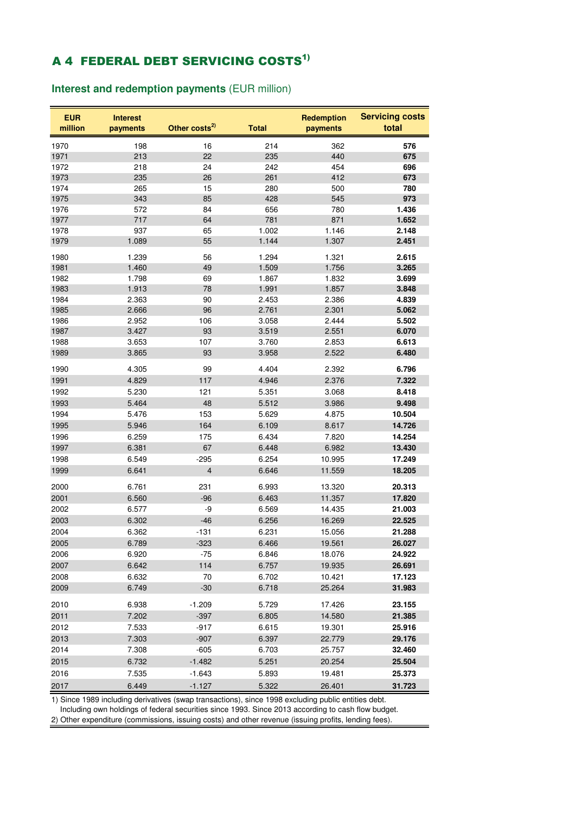# **A 4 FEDERAL DEBT SERVICING COSTS<sup>1)</sup>**

## **Interest and redemption payments** (EUR million)

| <b>EUR</b><br>million | <b>Interest</b><br>payments | Other costs <sup>2)</sup> | <b>Total</b> | <b>Redemption</b><br>payments | <b>Servicing costs</b><br>total |
|-----------------------|-----------------------------|---------------------------|--------------|-------------------------------|---------------------------------|
| 1970                  | 198                         | 16                        | 214          | 362                           | 576                             |
| 1971                  | 213                         | 22                        | 235          | 440                           | 675                             |
| 1972                  | 218                         | 24                        | 242          | 454                           | 696                             |
| 1973                  | 235                         | 26                        | 261          | 412                           | 673                             |
| 1974                  | 265                         | 15                        | 280          | 500                           | 780                             |
| 1975                  | 343                         | 85                        | 428          | 545                           | 973                             |
| 1976                  | 572                         | 84                        | 656          | 780                           | 1.436                           |
| 1977                  | 717                         | 64                        | 781          | 871                           | 1.652                           |
| 1978                  | 937                         | 65                        | 1.002        | 1.146                         | 2.148                           |
| 1979                  | 1.089                       | 55                        | 1.144        | 1.307                         | 2.451                           |
| 1980                  | 1.239                       | 56                        | 1.294        | 1.321                         | 2.615                           |
| 1981                  | 1.460                       | 49                        | 1.509        | 1.756                         | 3.265                           |
| 1982                  | 1.798                       | 69                        | 1.867        | 1.832                         | 3.699                           |
| 1983                  | 1.913                       | 78                        | 1.991        | 1.857                         | 3.848                           |
| 1984                  | 2.363                       | 90                        | 2.453        | 2.386                         | 4.839                           |
| 1985                  | 2.666                       | 96                        | 2.761        | 2.301                         | 5.062                           |
| 1986                  | 2.952                       | 106                       | 3.058        | 2.444                         | 5.502                           |
| 1987                  | 3.427                       | 93                        | 3.519        | 2.551                         | 6.070                           |
| 1988                  | 3.653                       | 107                       | 3.760        | 2.853                         | 6.613                           |
| 1989                  | 3.865                       | 93                        | 3.958        | 2.522                         | 6.480                           |
| 1990                  | 4.305                       | 99                        | 4.404        | 2.392                         | 6.796                           |
| 1991                  | 4.829                       | 117                       | 4.946        | 2.376                         | 7.322                           |
| 1992                  | 5.230                       | 121                       | 5.351        | 3.068                         | 8.418                           |
| 1993                  | 5.464                       | 48                        | 5.512        | 3.986                         | 9.498                           |
| 1994                  | 5.476                       | 153                       | 5.629        | 4.875                         | 10.504                          |
| 1995                  | 5.946                       | 164                       | 6.109        | 8.617                         | 14.726                          |
| 1996                  | 6.259                       | 175                       | 6.434        | 7.820                         | 14.254                          |
| 1997                  | 6.381                       | 67                        | 6.448        | 6.982                         | 13.430                          |
| 1998                  | 6.549                       | $-295$                    | 6.254        | 10.995                        | 17.249                          |
| 1999                  | 6.641                       | $\overline{4}$            | 6.646        | 11.559                        | 18.205                          |
| 2000                  | 6.761                       | 231                       | 6.993        | 13.320                        | 20.313                          |
| 2001                  | 6.560                       | $-96$                     | 6.463        | 11.357                        | 17.820                          |
| 2002                  | 6.577                       | -9                        | 6.569        | 14.435                        | 21.003                          |
| 2003                  | 6.302                       | $-46$                     | 6.256        | 16.269                        | 22.525                          |
| 2004                  | 6.362                       | $-131$                    | 6.231        | 15.056                        | 21.288                          |
| 2005                  | 6.789                       | $-323$                    | 6.466        | 19.561                        | 26.027                          |
| 2006                  | 6.920                       | $-75$                     | 6.846        | 18.076                        | 24.922                          |
| 2007                  | 6.642                       | 114                       | 6.757        | 19.935                        | 26.691                          |
| 2008                  | 6.632                       | 70                        | 6.702        | 10.421                        | 17.123                          |
| 2009                  | 6.749                       | $-30$                     | 6.718        | 25.264                        | 31.983                          |
| 2010                  | 6.938                       | $-1.209$                  | 5.729        | 17.426                        | 23.155                          |
| 2011                  | 7.202                       | $-397$                    | 6.805        | 14.580                        | 21.385                          |
| 2012                  | 7.533                       | $-917$                    | 6.615        | 19.301                        | 25.916                          |
| 2013                  | 7.303                       | $-907$                    | 6.397        | 22.779                        | 29.176                          |
| 2014                  | 7.308                       | $-605$                    | 6.703        | 25.757                        | 32.460                          |
| 2015                  | 6.732                       | $-1.482$                  | 5.251        | 20.254                        | 25.504                          |
| 2016                  | 7.535                       | $-1.643$                  | 5.893        | 19.481                        | 25.373                          |
| 2017                  | 6.449                       | $-1.127$                  | 5.322        | 26.401                        | 31.723                          |

1) Since 1989 including derivatives (swap transactions), since 1998 excluding public entities debt.

 Including own holdings of federal securities since 1993. Since 2013 according to cash flow budget. 2) Other expenditure (commissions, issuing costs) and other revenue (issuing profits, lending fees).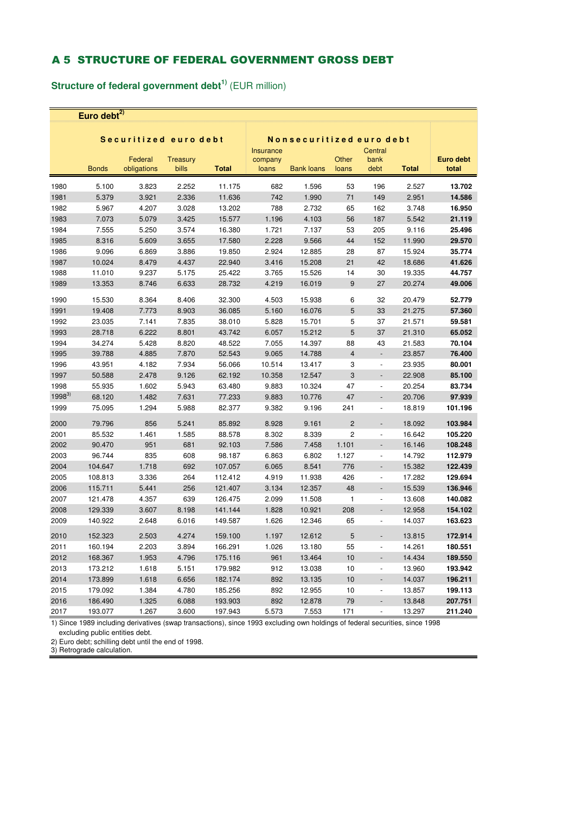## A 5 STRUCTURE OF FEDERAL GOVERNMENT GROSS DEBT

**Structure of federal government debt1)** (EUR million)

**Euro debt2)**

|            |              | Securitized euro debt  |                          |              | Nonsecuritized euro debt             |                   |                |                          |              |                    |
|------------|--------------|------------------------|--------------------------|--------------|--------------------------------------|-------------------|----------------|--------------------------|--------------|--------------------|
|            | <b>Bonds</b> | Federal<br>obligations | <b>Treasury</b><br>bills | <b>Total</b> | <b>Insurance</b><br>company<br>loans | <b>Bank loans</b> | Other<br>loans | Central<br>bank<br>debt  | <b>Total</b> | Euro debt<br>total |
| 1980       | 5.100        | 3.823                  | 2.252                    | 11.175       | 682                                  | 1.596             | 53             | 196                      | 2.527        | 13.702             |
| 1981       | 5.379        | 3.921                  | 2.336                    | 11.636       | 742                                  | 1.990             | 71             | 149                      | 2.951        | 14.586             |
| 1982       | 5.967        | 4.207                  | 3.028                    | 13.202       | 788                                  | 2.732             | 65             | 162                      | 3.748        | 16.950             |
| 1983       | 7.073        | 5.079                  | 3.425                    | 15.577       | 1.196                                | 4.103             | 56             | 187                      | 5.542        | 21.119             |
| 1984       | 7.555        | 5.250                  | 3.574                    | 16.380       | 1.721                                | 7.137             | 53             | 205                      | 9.116        | 25.496             |
| 1985       | 8.316        | 5.609                  | 3.655                    | 17.580       | 2.228                                | 9.566             | 44             | 152                      | 11.990       | 29.570             |
| 1986       | 9.096        | 6.869                  | 3.886                    | 19.850       | 2.924                                | 12.885            | 28             | 87                       | 15.924       | 35.774             |
| 1987       | 10.024       | 8.479                  | 4.437                    | 22.940       | 3.416                                | 15.208            | 21             | 42                       | 18.686       | 41.626             |
| 1988       | 11.010       | 9.237                  | 5.175                    | 25.422       | 3.765                                | 15.526            | 14             | 30                       | 19.335       | 44.757             |
| 1989       | 13.353       | 8.746                  | 6.633                    | 28.732       | 4.219                                | 16.019            | 9              | 27                       | 20.274       | 49.006             |
| 1990       | 15.530       | 8.364                  | 8.406                    | 32.300       | 4.503                                | 15.938            | 6              | 32                       | 20.479       | 52.779             |
| 1991       | 19.408       | 7.773                  | 8.903                    | 36.085       | 5.160                                | 16.076            | 5              | 33                       | 21.275       | 57.360             |
| 1992       | 23.035       | 7.141                  | 7.835                    | 38.010       | 5.828                                | 15.701            | 5              | 37                       | 21.571       | 59.581             |
| 1993       | 28.718       | 6.222                  | 8.801                    | 43.742       | 6.057                                | 15.212            | 5              | 37                       | 21.310       | 65.052             |
| 1994       | 34.274       | 5.428                  | 8.820                    | 48.522       | 7.055                                | 14.397            | 88             | 43                       | 21.583       | 70.104             |
| 1995       | 39.788       | 4.885                  | 7.870                    | 52.543       | 9.065                                | 14.788            | $\overline{4}$ | $\overline{\phantom{a}}$ | 23.857       | 76.400             |
| 1996       | 43.951       | 4.182                  | 7.934                    | 56.066       | 10.514                               | 13.417            | 3              | $\overline{\phantom{a}}$ | 23.935       | 80.001             |
| 1997       | 50.588       | 2.478                  | 9.126                    | 62.192       | 10.358                               | 12.547            | 3              | $\overline{\phantom{a}}$ | 22.908       | 85.100             |
| 1998       | 55.935       | 1.602                  | 5.943                    | 63.480       | 9.883                                | 10.324            | 47             | $\blacksquare$           | 20.254       | 83.734             |
| $1998^{3}$ | 68.120       | 1.482                  | 7.631                    | 77.233       | 9.883                                | 10.776            | 47             | $\overline{a}$           | 20.706       | 97.939             |
| 1999       | 75.095       | 1.294                  | 5.988                    | 82.377       | 9.382                                | 9.196             | 241            | ÷,                       | 18.819       | 101.196            |
| 2000       | 79.796       | 856                    | 5.241                    | 85.892       | 8.928                                | 9.161             | $\overline{2}$ | $\overline{a}$           | 18.092       | 103.984            |
| 2001       | 85.532       | 1.461                  | 1.585                    | 88.578       | 8.302                                | 8.339             | $\overline{c}$ | $\overline{a}$           | 16.642       | 105.220            |
| 2002       | 90.470       | 951                    | 681                      | 92.103       | 7.586                                | 7.458             | 1.101          | $\overline{a}$           | 16.146       | 108.248            |
| 2003       | 96.744       | 835                    | 608                      | 98.187       | 6.863                                | 6.802             | 1.127          | $\blacksquare$           | 14.792       | 112.979            |
| 2004       | 104.647      | 1.718                  | 692                      | 107.057      | 6.065                                | 8.541             | 776            | $\frac{1}{2}$            | 15.382       | 122.439            |
| 2005       | 108.813      | 3.336                  | 264                      | 112.412      | 4.919                                | 11.938            | 426            | $\blacksquare$           | 17.282       | 129.694            |
| 2006       | 115.711      | 5.441                  | 256                      | 121.407      | 3.134                                | 12.357            | 48             | $\overline{a}$           | 15.539       | 136.946            |
| 2007       | 121.478      | 4.357                  | 639                      | 126.475      | 2.099                                | 11.508            | $\mathbf{1}$   | $\overline{\phantom{a}}$ | 13.608       | 140.082            |
| 2008       | 129.339      | 3.607                  | 8.198                    | 141.144      | 1.828                                | 10.921            | 208            | $\overline{a}$           | 12.958       | 154.102            |
| 2009       | 140.922      | 2.648                  | 6.016                    | 149.587      | 1.626                                | 12.346            | 65             | $\frac{1}{2}$            | 14.037       | 163.623            |
| 2010       | 152.323      | 2.503                  | 4.274                    | 159.100      | 1.197                                | 12.612            | 5              | $\frac{1}{2}$            | 13.815       | 172.914            |
| 2011       | 160.194      | 2.203                  | 3.894                    | 166.291      | 1.026                                | 13.180            | 55             | ÷                        | 14.261       | 180.551            |
| 2012       | 168.367      | 1.953                  | 4.796                    | 175.116      | 961                                  | 13.464            | 10             | $\overline{\phantom{a}}$ | 14.434       | 189.550            |
| 2013       | 173.212      | 1.618                  | 5.151                    | 179.982      | 912                                  | 13.038            | 10             | $\blacksquare$           | 13.960       | 193.942            |
| 2014       | 173.899      | 1.618                  | 6.656                    | 182.174      | 892                                  | 13.135            | 10             | $\overline{a}$           | 14.037       | 196.211            |
| 2015       | 179.092      | 1.384                  | 4.780                    | 185.256      | 892                                  | 12.955            | 10             | $\overline{a}$           | 13.857       | 199.113            |
| 2016       | 186.490      | 1.325                  | 6.088                    | 193.903      | 892                                  | 12.878            | 79             | $\overline{a}$           | 13.848       | 207.751            |
| 2017       | 193.077      | 1.267                  | 3.600                    | 197.943      | 5.573                                | 7.553             | 171            | $\overline{a}$           | 13.297       | 211.240            |

1) Since 1989 including derivatives (swap transactions), since 1993 excluding own holdings of federal securities, since 1998 excluding public entities debt.

2) Euro debt; schilling debt until the end of 1998.

3) Retrograde calculation.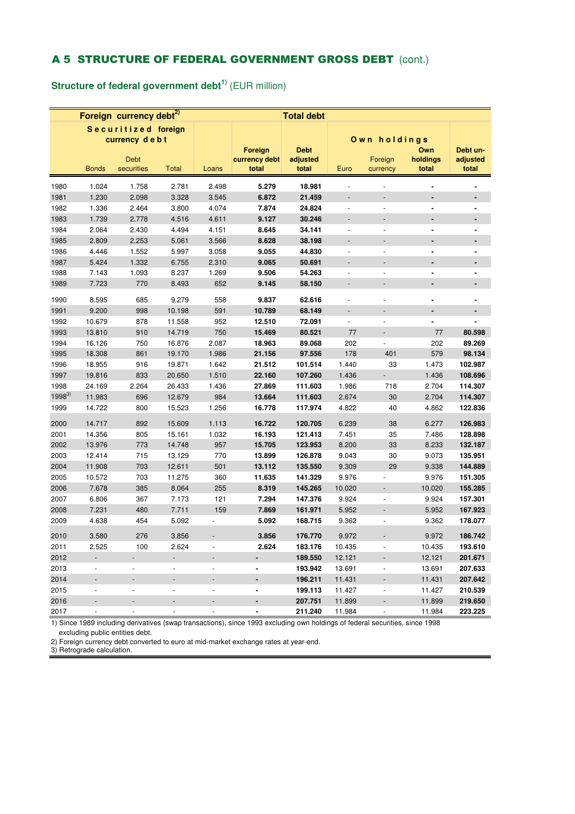## A 5 STRUCTURE OF FEDERAL GOVERNMENT GROSS DEBT (cont.)

**Structure of federal government debt1)** (EUR million)

|            |                          | Foreign currency debt <sup>2)</sup>  |                          |                          |                                   | <b>Total debt</b>                |                          |                          |                          |                               |
|------------|--------------------------|--------------------------------------|--------------------------|--------------------------|-----------------------------------|----------------------------------|--------------------------|--------------------------|--------------------------|-------------------------------|
|            |                          | Securitized foreign<br>currency debt |                          |                          |                                   |                                  |                          | Own holdings             |                          |                               |
|            | <b>Bonds</b>             | <b>Debt</b><br>securities            | Total                    | Loans                    | Foreign<br>currency debt<br>total | <b>Debt</b><br>adjusted<br>total | Euro                     | Foreign<br>currency      | Own<br>holdings<br>total | Debt un-<br>adjusted<br>total |
| 1980       | 1.024                    | 1.758                                | 2.781                    | 2.498                    | 5.279                             | 18.981                           |                          |                          |                          |                               |
| 1981       | 1.230                    | 2.098                                | 3.328                    | 3.545                    | 6.872                             | 21.459                           | $\overline{a}$           | $\overline{a}$           | ä,                       | ÷                             |
| 1982       | 1.336                    | 2.464                                | 3.800                    | 4.074                    | 7.874                             | 24.824                           | $\overline{a}$           | $\overline{a}$           | ä,                       | ۰                             |
| 1983       | 1.739                    | 2.778                                | 4.516                    | 4.611                    | 9.127                             | 30.246                           | $\overline{a}$           | $\overline{a}$           | $\blacksquare$           |                               |
| 1984       | 2.064                    | 2.430                                | 4.494                    | 4.151                    | 8.645                             | 34.141                           | $\overline{\phantom{a}}$ | $\overline{a}$           |                          |                               |
| 1985       | 2.809                    | 2.253                                | 5.061                    | 3.566                    | 8.628                             | 38.198                           |                          | $\overline{a}$           |                          |                               |
| 1986       | 4.446                    | 1.552                                | 5.997                    | 3.058                    | 9.055                             | 44.830                           | $\overline{\phantom{a}}$ | $\overline{\phantom{a}}$ | $\blacksquare$           | ٠                             |
| 1987       | 5.424                    | 1.332                                | 6.755                    | 2.310                    | 9.065                             | 50.691                           |                          | ÷                        |                          |                               |
| 1988       | 7.143                    | 1.093                                | 8.237                    | 1.269                    | 9.506                             | 54.263                           | $\blacksquare$           | $\overline{a}$           |                          |                               |
| 1989       | 7.723                    | 770                                  | 8.493                    | 652                      | 9.145                             | 58.150                           |                          | $\overline{a}$           | ٠                        |                               |
|            |                          |                                      |                          |                          |                                   |                                  |                          |                          |                          |                               |
| 1990       | 8.595                    | 685                                  | 9.279                    | 558                      | 9.837                             | 62.616                           |                          |                          |                          |                               |
| 1991       | 9.200                    | 998                                  | 10.198                   | 591                      | 10.789                            | 68.149                           | $\overline{\phantom{a}}$ | $\overline{\phantom{a}}$ | ٠                        | $\qquad \qquad \blacksquare$  |
| 1992       | 10.679                   | 878                                  | 11.558                   | 952                      | 12.510                            | 72.091                           | $\Box$                   | $\overline{\phantom{a}}$ | $\blacksquare$           |                               |
| 1993       | 13.810                   | 910                                  | 14.719                   | 750                      | 15.469                            | 80.521                           | 77                       | $\overline{a}$           | 77                       | 80.598                        |
| 1994       | 16.126                   | 750                                  | 16.876                   | 2.087                    | 18.963                            | 89.068                           | 202                      | $\overline{a}$           | 202                      | 89.269                        |
| 1995       | 18.308                   | 861                                  | 19.170                   | 1.986                    | 21.156                            | 97.556                           | 178                      | 401                      | 579                      | 98.134                        |
| 1996       | 18.955                   | 916                                  | 19.871                   | 1.642                    | 21.512                            | 101.514                          | 1.440                    | 33                       | 1.473                    | 102.987                       |
| 1997       | 19.816                   | 833                                  | 20.650                   | 1.510                    | 22.160                            | 107.260                          | 1.436                    | $\overline{a}$           | 1.436                    | 108.696                       |
| 1998       | 24.169                   | 2.264                                | 26.433                   | 1.436                    | 27.869                            | 111.603                          | 1.986                    | 718                      | 2.704                    | 114.307                       |
| $1998^{3}$ | 11.983                   | 696                                  | 12.679                   | 984                      | 13.664                            | 111.603                          | 2.674                    | 30                       | 2.704                    | 114.307                       |
| 1999       | 14.722                   | 800                                  | 15.523                   | 1.256                    | 16.778                            | 117.974                          | 4.822                    | 40                       | 4.862                    | 122.836                       |
| 2000       | 14.717                   | 892                                  | 15.609                   | 1.113                    | 16.722                            | 120.705                          | 6.239                    | 38                       | 6.277                    | 126.983                       |
| 2001       | 14.356                   | 805                                  | 15.161                   | 1.032                    | 16.193                            | 121.413                          | 7.451                    | 35                       | 7.486                    | 128.898                       |
| 2002       | 13.976                   | 773                                  | 14.748                   | 957                      | 15.705                            | 123.953                          | 8.200                    | 33                       | 8.233                    | 132.187                       |
| 2003       | 12.414                   | 715                                  | 13.129                   | 770                      | 13.899                            | 126.878                          | 9.043                    | 30                       | 9.073                    | 135.951                       |
| 2004       | 11.908                   | 703                                  | 12.611                   | 501                      | 13.112                            | 135.550                          | 9.309                    | 29                       | 9.338                    | 144.889                       |
| 2005       | 10.572                   | 703                                  | 11.275                   | 360                      | 11.635                            | 141.329                          | 9.976                    | $\overline{a}$           | 9.976                    | 151.305                       |
| 2006       | 7.678                    | 385                                  | 8.064                    | 255                      | 8.319                             | 145.265                          | 10.020                   |                          | 10.020                   | 155.285                       |
| 2007       | 6.806                    | 367                                  | 7.173                    | 121                      | 7.294                             | 147.376                          | 9.924                    | $\overline{a}$           | 9.924                    | 157.301                       |
| 2008       | 7.231                    | 480                                  | 7.711                    | 159                      | 7.869                             | 161.971                          | 5.952                    | $\overline{\phantom{a}}$ | 5.952                    | 167.923                       |
| 2009       | 4.638                    | 454                                  | 5.092                    |                          | 5.092                             | 168.715                          | 9.362                    |                          | 9.362                    | 178.077                       |
| 2010       | 3.580                    | 276                                  | 3.856                    |                          | 3.856                             | 176.770                          | 9.972                    |                          | 9.972                    | 186.742                       |
| 2011       | 2.525                    | 100                                  | 2.624                    | $\overline{\phantom{a}}$ | 2.624                             | 183.176                          | 10.435                   | $\overline{\phantom{a}}$ | 10.435                   | 193.610                       |
| 2012       | Ξ.                       | $\overline{\phantom{0}}$             | ۰                        |                          | ۰                                 | 189.550                          | 12.121                   |                          | 12.121                   | 201.671                       |
| 2013       | $\overline{\phantom{a}}$ | $\blacksquare$                       | $\overline{\phantom{a}}$ | $\overline{\phantom{a}}$ | ٠                                 | 193.942                          | 13.691                   | $\overline{\phantom{a}}$ | 13.691                   | 207.633                       |
| 2014       |                          |                                      |                          |                          |                                   | 196.211                          | 11.431                   |                          | 11.431                   | 207.642                       |
| 2015       | $\overline{\phantom{a}}$ | $\overline{\phantom{a}}$             | $\overline{\phantom{a}}$ | $\overline{\phantom{a}}$ | ۰                                 | 199.113                          | 11.427                   | $\overline{\phantom{a}}$ | 11.427                   | 210.539                       |
| 2016       | Ξ.                       |                                      | $\overline{\phantom{a}}$ | $\overline{\phantom{a}}$ |                                   | 207.751                          | 11.899                   | $\overline{\phantom{a}}$ | 11.899                   | 219.650                       |
| 2017       | $\overline{\phantom{a}}$ | $\blacksquare$                       | ÷,                       | $\overline{\phantom{a}}$ | ٠                                 | 211.240                          | 11.984                   | $\overline{\phantom{a}}$ | 11.984                   | 223.225                       |
|            |                          |                                      |                          |                          |                                   |                                  |                          |                          |                          |                               |

1) Since 1989 including derivatives (swap transactions), since 1993 excluding own holdings of federal securities, since 1998 excluding public entities debt.

2) Foreign currency debt converted to euro at mid-market exchange rates at year-end. 3) Retrograde calculation.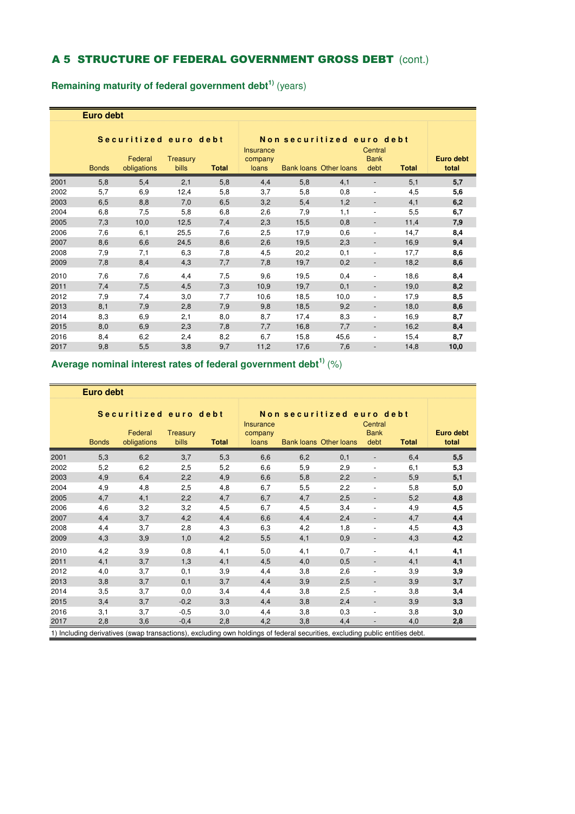## A 5 STRUCTURE OF FEDERAL GOVERNMENT GROSS DEBT (cont.)

**Remaining maturity of federal government debt1)** (years)

| Euro debt |
|-----------|
|-----------|

|      |              | Securitized euro debt  |                          |              | Non securitized euro debt<br><b>Insurance</b> |      |                               |                              |              |                    |
|------|--------------|------------------------|--------------------------|--------------|-----------------------------------------------|------|-------------------------------|------------------------------|--------------|--------------------|
|      | <b>Bonds</b> | Federal<br>obligations | <b>Treasury</b><br>bills | <b>Total</b> | company<br>loans                              |      | <b>Bank loans Other loans</b> | <b>Bank</b><br>debt          | <b>Total</b> | Euro debt<br>total |
| 2001 | 5,8          | 5,4                    | 2,1                      | 5,8          | 4,4                                           | 5,8  | 4,1                           |                              | 5,1          | 5,7                |
| 2002 | 5,7          | 6,9                    | 12,4                     | 5,8          | 3,7                                           | 5,8  | 0,8                           | $\overline{\phantom{a}}$     | 4,5          | 5,6                |
| 2003 | 6,5          | 8,8                    | 7,0                      | 6,5          | 3,2                                           | 5,4  | 1,2                           | $\overline{\phantom{a}}$     | 4,1          | 6,2                |
| 2004 | 6,8          | 7,5                    | 5,8                      | 6,8          | 2,6                                           | 7,9  | 1,1                           | ٠                            | 5,5          | 6,7                |
| 2005 | 7,3          | 10,0                   | 12,5                     | 7,4          | 2,3                                           | 15,5 | 0,8                           | $\qquad \qquad \blacksquare$ | 11,4         | 7,9                |
| 2006 | 7,6          | 6,1                    | 25,5                     | 7,6          | 2,5                                           | 17,9 | 0,6                           | $\overline{\phantom{a}}$     | 14,7         | 8,4                |
| 2007 | 8,6          | 6,6                    | 24,5                     | 8,6          | 2,6                                           | 19,5 | 2,3                           | $\overline{\phantom{a}}$     | 16,9         | 9,4                |
| 2008 | 7,9          | 7,1                    | 6,3                      | 7,8          | 4,5                                           | 20,2 | 0,1                           | $\overline{\phantom{a}}$     | 17,7         | 8,6                |
| 2009 | 7,8          | 8,4                    | 4,3                      | 7,7          | 7,8                                           | 19,7 | 0,2                           | $\overline{\phantom{a}}$     | 18,2         | 8,6                |
| 2010 | 7,6          | 7,6                    | 4,4                      | 7,5          | 9,6                                           | 19,5 | 0,4                           |                              | 18,6         | 8,4                |
| 2011 | 7,4          | 7,5                    | 4,5                      | 7,3          | 10,9                                          | 19,7 | 0,1                           | $\overline{\phantom{a}}$     | 19,0         | 8,2                |
| 2012 | 7,9          | 7,4                    | 3,0                      | 7,7          | 10,6                                          | 18,5 | 10,0                          | $\overline{\phantom{a}}$     | 17,9         | 8,5                |
| 2013 | 8,1          | 7,9                    | 2,8                      | 7,9          | 9,8                                           | 18,5 | 9,2                           | $\overline{\phantom{a}}$     | 18,0         | 8,6                |
| 2014 | 8,3          | 6,9                    | 2,1                      | 8,0          | 8,7                                           | 17,4 | 8,3                           | ٠                            | 16,9         | 8,7                |
| 2015 | 8,0          | 6,9                    | 2,3                      | 7,8          | 7,7                                           | 16,8 | 7,7                           | $\overline{\phantom{a}}$     | 16,2         | 8,4                |
| 2016 | 8,4          | 6,2                    | 2,4                      | 8,2          | 6,7                                           | 15,8 | 45,6                          | $\overline{\phantom{a}}$     | 15,4         | 8,7                |
| 2017 | 9,8          | 5,5                    | 3,8                      | 9,7          | 11,2                                          | 17,6 | 7,6                           |                              | 14,8         | 10,0               |

## **Average nominal interest rates of federal government debt1)** (%)

|      | <b>Euro debt</b> |                                                                                                                             |                   |              |                                      |                           |                               |                                |              |                           |
|------|------------------|-----------------------------------------------------------------------------------------------------------------------------|-------------------|--------------|--------------------------------------|---------------------------|-------------------------------|--------------------------------|--------------|---------------------------|
|      | <b>Bonds</b>     | Securitized euro debt<br>Federal<br>obligations                                                                             | Treasury<br>bills | <b>Total</b> | <b>Insurance</b><br>company<br>loans | Non securitized euro debt | <b>Bank loans Other loans</b> | Central<br><b>Bank</b><br>debt | <b>Total</b> | <b>Euro debt</b><br>total |
| 2001 | 5,3              | 6,2                                                                                                                         | 3,7               | 5,3          | 6,6                                  | 6,2                       | 0,1                           |                                | 6,4          | 5,5                       |
| 2002 | 5,2              | 6,2                                                                                                                         | 2,5               | 5,2          | 6,6                                  | 5,9                       | 2,9                           | $\overline{\phantom{a}}$       | 6,1          | 5,3                       |
| 2003 | 4,9              | 6,4                                                                                                                         | 2,2               | 4,9          | 6,6                                  | 5,8                       | 2,2                           |                                | 5,9          | 5,1                       |
| 2004 | 4,9              | 4,8                                                                                                                         | 2,5               | 4,8          | 6,7                                  | 5,5                       | 2,2                           | $\blacksquare$                 | 5,8          | 5,0                       |
| 2005 | 4,7              | 4,1                                                                                                                         | 2,2               | 4,7          | 6,7                                  | 4,7                       | 2,5                           |                                | 5,2          | 4,8                       |
| 2006 | 4,6              | 3,2                                                                                                                         | 3,2               | 4,5          | 6,7                                  | 4,5                       | 3,4                           | $\overline{\phantom{a}}$       | 4,9          | 4,5                       |
| 2007 | 4,4              | 3,7                                                                                                                         | 4,2               | 4,4          | 6,6                                  | 4,4                       | 2,4                           |                                | 4,7          | 4,4                       |
| 2008 | 4,4              | 3,7                                                                                                                         | 2,8               | 4,3          | 6,3                                  | 4,2                       | 1,8                           | $\overline{\phantom{a}}$       | 4,5          | 4,3                       |
| 2009 | 4,3              | 3,9                                                                                                                         | 1,0               | 4,2          | 5,5                                  | 4,1                       | 0,9                           |                                | 4,3          | 4,2                       |
| 2010 | 4,2              | 3,9                                                                                                                         | 0,8               | 4,1          | 5,0                                  | 4,1                       | 0,7                           | ٠                              | 4,1          | 4,1                       |
| 2011 | 4,1              | 3,7                                                                                                                         | 1,3               | 4,1          | 4,5                                  | 4,0                       | 0,5                           | $\overline{\phantom{a}}$       | 4,1          | 4,1                       |
| 2012 | 4,0              | 3,7                                                                                                                         | 0,1               | 3,9          | 4,4                                  | 3,8                       | 2,6                           | $\overline{\phantom{a}}$       | 3,9          | 3,9                       |
| 2013 | 3,8              | 3,7                                                                                                                         | 0,1               | 3,7          | 4,4                                  | 3,9                       | 2,5                           | $\overline{\phantom{a}}$       | 3,9          | 3,7                       |
| 2014 | 3,5              | 3,7                                                                                                                         | 0,0               | 3,4          | 4,4                                  | 3,8                       | 2,5                           | $\overline{\phantom{a}}$       | 3,8          | 3,4                       |
| 2015 | 3,4              | 3,7                                                                                                                         | $-0,2$            | 3,3          | 4,4                                  | 3,8                       | 2,4                           | $\overline{\phantom{a}}$       | 3,9          | 3,3                       |
| 2016 | 3,1              | 3,7                                                                                                                         | $-0,5$            | 3,0          | 4,4                                  | 3,8                       | 0,3                           | ٠                              | 3,8          | 3,0                       |
| 2017 | 2,8              | 3,6                                                                                                                         | $-0,4$            | 2,8          | 4,2                                  | 3,8                       | 4,4                           |                                | 4,0          | 2,8                       |
|      |                  | 1) Including derivatives (swap transactions), excluding own holdings of federal securities, excluding public entities debt. |                   |              |                                      |                           |                               |                                |              |                           |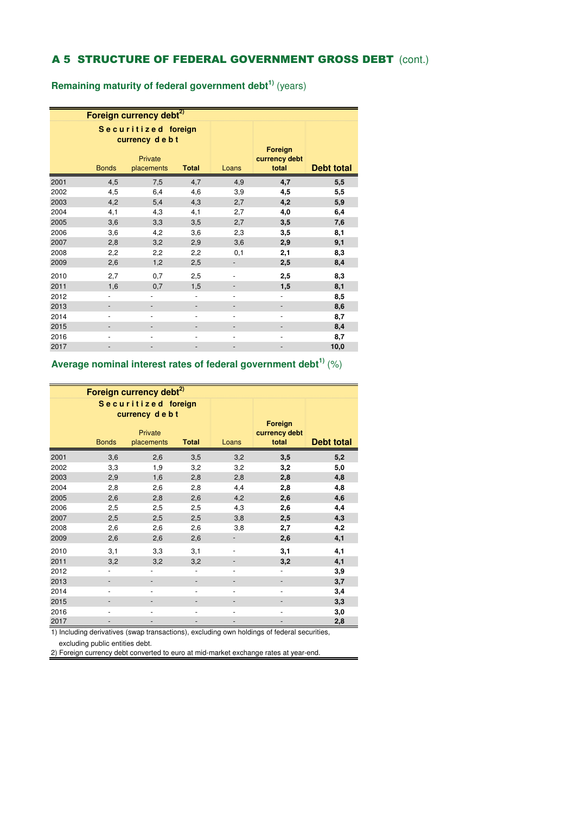# A 5 STRUCTURE OF FEDERAL GOVERNMENT GROSS DEBT (cont.)

**Remaining maturity of federal government debt1)** (years)

|      |                              | Foreign currency debt <sup>2)</sup>  |                |                              |                          |                   |
|------|------------------------------|--------------------------------------|----------------|------------------------------|--------------------------|-------------------|
|      |                              | Securitized foreign<br>currency debt |                |                              | Foreign                  |                   |
|      | <b>Bonds</b>                 | Private<br>placements                | <b>Total</b>   | Loans                        | currency debt<br>total   | <b>Debt total</b> |
|      |                              |                                      |                |                              |                          |                   |
| 2001 | 4,5                          | 7,5                                  | 4,7            | 4,9                          | 4,7                      | 5,5               |
| 2002 | 4,5                          | 6,4                                  | 4,6            | 3,9                          | 4,5                      | 5,5               |
| 2003 | 4,2                          | 5,4                                  | 4,3            | 2,7                          | 4,2                      | 5,9               |
| 2004 | 4,1                          | 4,3                                  | 4,1            | 2,7                          | 4,0                      | 6,4               |
| 2005 | 3,6                          | 3,3                                  | 3,5            | 2,7                          | 3,5                      | 7,6               |
| 2006 | 3,6                          | 4,2                                  | 3,6            | 2,3                          | 3,5                      | 8,1               |
| 2007 | 2,8                          | 3,2                                  | 2,9            | 3,6                          | 2,9                      | 9,1               |
| 2008 | 2,2                          | 2,2                                  | 2,2            | 0,1                          | 2,1                      | 8,3               |
| 2009 | 2,6                          | 1,2                                  | 2,5            |                              | 2,5                      | 8,4               |
| 2010 | 2,7                          | 0,7                                  | 2,5            | $\qquad \qquad \blacksquare$ | 2,5                      | 8,3               |
| 2011 | 1,6                          | 0,7                                  | 1,5            |                              | 1,5                      | 8,1               |
| 2012 | ٠                            |                                      | $\blacksquare$ | ٠                            | $\overline{\phantom{a}}$ | 8,5               |
| 2013 | $\overline{\phantom{0}}$     |                                      |                |                              |                          | 8,6               |
| 2014 | ٠                            | $\overline{\phantom{a}}$             | ÷,             | $\overline{\phantom{0}}$     | $\overline{\phantom{0}}$ | 8,7               |
| 2015 |                              |                                      |                |                              |                          | 8,4               |
| 2016 | $\qquad \qquad \blacksquare$ | ٠                                    |                | $\overline{\phantom{a}}$     | $\overline{\phantom{m}}$ | 8,7               |
| 2017 |                              |                                      |                |                              |                          | 10,0              |

## **Average nominal interest rates of federal government debt1)** (%)

|      |                          | Foreign currency debt <sup>2)</sup>  |              |                              |                                          |                   |
|------|--------------------------|--------------------------------------|--------------|------------------------------|------------------------------------------|-------------------|
|      |                          | Securitized foreign<br>currency debt |              |                              |                                          |                   |
|      | <b>Bonds</b>             | Private<br>placements                | <b>Total</b> | Loans                        | <b>Foreign</b><br>currency debt<br>total | <b>Debt total</b> |
| 2001 | 3,6                      | 2,6                                  | 3,5          | 3,2                          | 3,5                                      | 5,2               |
| 2002 | 3,3                      | 1,9                                  | 3,2          | 3,2                          | 3,2                                      | 5,0               |
| 2003 | 2,9                      | 1,6                                  | 2,8          | 2,8                          | 2,8                                      | 4,8               |
| 2004 | 2,8                      | 2,6                                  | 2,8          | 4,4                          | 2,8                                      | 4,8               |
| 2005 | 2,6                      | 2,8                                  | 2,6          | 4,2                          | 2,6                                      | 4,6               |
| 2006 | 2,5                      | 2,5                                  | 2,5          | 4,3                          | 2,6                                      | 4,4               |
| 2007 | 2,5                      | 2,5                                  | 2,5          | 3,8                          | 2,5                                      | 4,3               |
| 2008 | 2,6                      | 2,6                                  | 2,6          | 3,8                          | 2,7                                      | 4,2               |
| 2009 | 2,6                      | 2,6                                  | 2,6          |                              | 2,6                                      | 4,1               |
| 2010 | 3,1                      | 3,3                                  | 3,1          |                              | 3,1                                      | 4,1               |
| 2011 | 3,2                      | 3,2                                  | 3,2          |                              | 3,2                                      | 4,1               |
| 2012 |                          |                                      |              | $\qquad \qquad \blacksquare$ | $\overline{\phantom{m}}$                 | 3,9               |
| 2013 |                          |                                      |              |                              |                                          | 3,7               |
| 2014 | $\overline{\phantom{0}}$ | $\overline{\phantom{a}}$             |              | $\overline{\phantom{m}}$     | -                                        | 3,4               |
| 2015 |                          |                                      |              |                              |                                          | 3,3               |
| 2016 | ٠                        |                                      |              |                              | -                                        | 3,0               |
| 2017 |                          |                                      |              |                              |                                          | 2,8               |

1) Including derivatives (swap transactions), excluding own holdings of federal securities, excluding public entities debt.

2) Foreign currency debt converted to euro at mid-market exchange rates at year-end.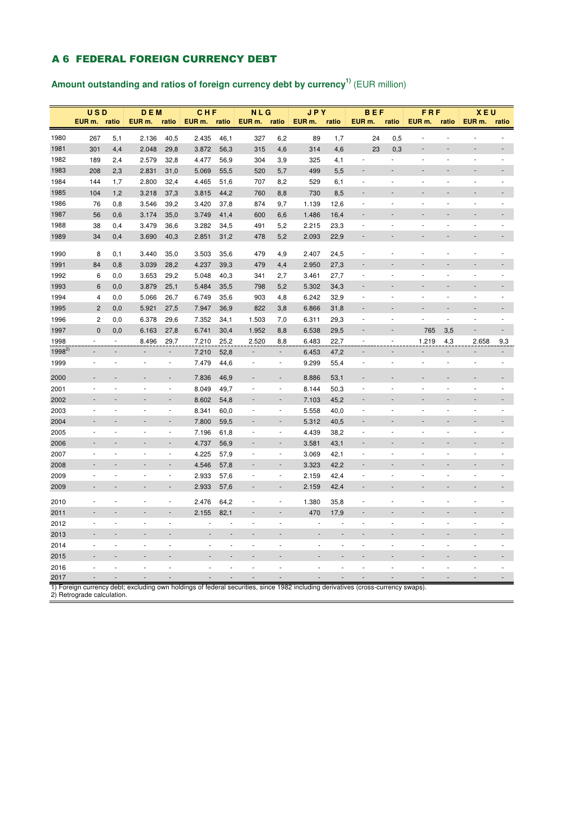### A 6 FEDERAL FOREIGN CURRENCY DEBT

# **Amount outstanding and ratios of foreign currency debt by currency1)** (EUR million)

|            | <b>USD</b>                 |       | <b>DEM</b>                                                                                                                       |                          | CHF    |       | <b>NLG</b> |        | <b>JPY</b>         |       | <b>BEF</b>         |       | FRF                      |        | <b>XEU</b> |        |
|------------|----------------------------|-------|----------------------------------------------------------------------------------------------------------------------------------|--------------------------|--------|-------|------------|--------|--------------------|-------|--------------------|-------|--------------------------|--------|------------|--------|
|            | EUR m.                     | ratio | EUR m.                                                                                                                           | ratio                    | EUR m. | ratio | EUR m.     | ratio  | EUR <sub>m</sub> . | ratio | EUR <sub>m</sub> . | ratio | EUR m.                   | ratio  | EUR m.     | ratio  |
| 1980       | 267                        | 5,1   | 2.136                                                                                                                            | 40,5                     | 2.435  | 46,1  | 327        | 6,2    | 89                 | 1,7   | 24                 | 0,5   |                          | ä,     |            |        |
| 1981       | 301                        | 4,4   | 2.048                                                                                                                            | 29,8                     | 3.872  | 56,3  | 315        | 4,6    | 314                | 4,6   | 23                 | 0,3   |                          |        |            |        |
| 1982       | 189                        | 2,4   | 2.579                                                                                                                            | 32,8                     | 4.477  | 56,9  | 304        | 3,9    | 325                | 4,1   | ä,                 | ×.    | ÷,                       | ÷,     | ÷,         | ÷,     |
| 1983       | 208                        | 2,3   | 2.831                                                                                                                            | 31,0                     | 5.069  | 55,5  | 520        | 5,7    | 499                | 5,5   |                    |       |                          |        |            |        |
| 1984       | 144                        | 1,7   | 2.800                                                                                                                            | 32,4                     | 4.465  | 51,6  | 707        | 8,2    | 529                | 6,1   | $\blacksquare$     | ä,    | ä,                       | ä,     |            |        |
| 1985       | 104                        | 1,2   | 3.218                                                                                                                            | 37,3                     | 3.815  | 44,2  | 760        | 8,8    | 730                | 8,5   |                    |       |                          |        |            |        |
| 1986       | 76                         | 0,8   | 3.546                                                                                                                            | 39,2                     | 3.420  | 37,8  | 874        | 9,7    | 1.139              | 12,6  | ä,                 |       |                          | J.     |            |        |
| 1987       | 56                         | 0,6   | 3.174                                                                                                                            | 35,0                     | 3.749  | 41,4  | 600        | 6,6    | 1.486              | 16,4  |                    |       |                          |        |            |        |
| 1988       | 38                         | 0,4   | 3.479                                                                                                                            | 36,6                     | 3.282  | 34,5  | 491        | 5,2    | 2.215              | 23,3  | ÷,                 |       |                          |        |            |        |
| 1989       | 34                         | 0,4   | 3.690                                                                                                                            | 40,3                     | 2.851  | 31,2  | 478        | 5,2    | 2.093              | 22,9  |                    |       |                          |        |            |        |
| 1990       | 8                          | 0,1   | 3.440                                                                                                                            | 35,0                     | 3.503  | 35,6  | 479        | 4,9    | 2.407              | 24,5  |                    |       |                          |        |            |        |
| 1991       | 84                         | 0,8   | 3.039                                                                                                                            | 28,2                     | 4.237  | 39,3  | 479        | 4,4    | 2.950              | 27,3  |                    |       |                          |        |            |        |
| 1992       | 6                          | 0,0   | 3.653                                                                                                                            | 29,2                     | 5.048  | 40,3  | 341        | 2,7    | 3.461              | 27,7  | ÷,                 |       |                          |        |            |        |
| 1993       | 6                          | 0,0   | 3.879                                                                                                                            | 25,1                     | 5.484  | 35,5  | 798        | 5,2    | 5.302              | 34,3  |                    |       |                          |        |            |        |
| 1994       | 4                          | 0,0   | 5.066                                                                                                                            | 26,7                     | 6.749  | 35,6  | 903        | 4,8    | 6.242              | 32,9  | ÷,                 |       |                          |        |            |        |
| 1995       | $\overline{2}$             | 0,0   | 5.921                                                                                                                            | 27,5                     | 7.947  | 36,9  | 822        | 3,8    | 6.866              | 31,8  |                    |       |                          |        |            |        |
| 1996       | 2                          | 0,0   | 6.378                                                                                                                            | 29,6                     | 7.352  | 34,1  | 1.503      | 7,0    | 6.311              | 29,3  | ×,                 | J.    |                          | ä,     | ä,         | ä,     |
| 1997       | $\mathbf 0$                | 0,0   | 6.163                                                                                                                            | 27,8                     | 6.741  | 30,4  | 1.952      | 8,8    | 6.538              | 29,5  |                    |       | 765                      | 3,5    |            |        |
| 1998       |                            |       | 8.496                                                                                                                            | 29,7                     | 7.210  | 25,2  | 2.520      | 8,8    | 6.483              | 22,7  |                    |       | 1.219                    | 4,3    | 2.658      | 9,3    |
| $1998^{2}$ |                            |       | $\overline{\phantom{a}}$                                                                                                         | $\overline{\phantom{a}}$ | 7.210  | 52,8  |            | ÷      | 6.453              | 47,2  |                    |       | $\overline{\phantom{a}}$ | ÷      |            |        |
| 1999       |                            | ÷,    | $\sim$                                                                                                                           | $\sim$                   | 7.479  | 44,6  | ä,         | $\sim$ | 9.299              | 55,4  | ÷,                 | ×,    | $\sim$                   | $\sim$ | ä,         | $\sim$ |
| 2000       |                            |       |                                                                                                                                  |                          | 7.836  | 46,9  |            |        | 8.886              | 53,1  |                    |       |                          |        |            |        |
| 2001       |                            |       |                                                                                                                                  | ł,                       | 8.049  | 49,7  |            | ×,     | 8.144              | 50,3  |                    |       |                          |        |            |        |
| 2002       |                            |       |                                                                                                                                  |                          | 8.602  | 54,8  |            |        | 7.103              | 45,2  |                    |       |                          |        |            |        |
| 2003       |                            |       |                                                                                                                                  | ä,                       | 8.341  | 60,0  | ä,         | ä,     | 5.558              | 40,0  | ÷,                 |       |                          |        |            |        |
| 2004       |                            |       |                                                                                                                                  |                          | 7.800  | 59,5  |            |        | 5.312              | 40,5  |                    |       |                          |        |            |        |
| 2005       | ÷,                         | J.    | ä,                                                                                                                               | $\overline{\phantom{a}}$ | 7.196  | 61,8  | ÷,         | ÷,     | 4.439              | 38,2  | ÷,                 | í,    | ٠                        | J.     | ä,         | ÷,     |
| 2006       |                            |       |                                                                                                                                  |                          | 4.737  | 56,9  |            |        | 3.581              | 43,1  |                    |       |                          |        |            |        |
| 2007       |                            |       |                                                                                                                                  | J.                       | 4.225  | 57,9  | J.         | ÷,     | 3.069              | 42,1  | J.                 |       |                          |        |            |        |
| 2008       |                            |       |                                                                                                                                  |                          | 4.546  | 57,8  |            |        | 3.323              | 42,2  |                    |       |                          |        |            |        |
| 2009       |                            | ä,    |                                                                                                                                  | ä,                       | 2.933  | 57,6  |            | ä,     | 2.159              | 42,4  | ä,                 |       |                          |        |            |        |
| 2009       |                            |       |                                                                                                                                  |                          | 2.933  | 57,6  |            |        | 2.159              | 42,4  |                    |       |                          |        |            |        |
| 2010       |                            |       |                                                                                                                                  |                          | 2.476  | 64,2  |            |        | 1.380              | 35,8  |                    |       |                          |        |            |        |
| 2011       |                            |       |                                                                                                                                  |                          | 2.155  | 82,1  |            |        | 470                | 17,9  |                    |       |                          |        |            |        |
| 2012       | ٠                          |       |                                                                                                                                  | ä,                       |        |       | ä,         |        |                    |       | ä,                 |       |                          |        |            |        |
| 2013       |                            |       |                                                                                                                                  |                          |        |       |            |        |                    |       |                    |       |                          |        |            |        |
| 2014       | ٠                          | ä,    | ٠                                                                                                                                | ä,                       |        |       | ä,         |        |                    |       | ä,                 |       | ٠                        | ä,     |            |        |
| 2015       |                            |       |                                                                                                                                  |                          |        |       |            |        |                    |       |                    |       |                          |        |            |        |
| 2016       | ä,                         | J.    | ÷,                                                                                                                               | l,                       | ä,     | ÷,    | l,         | ÷.     |                    |       | ä,                 |       |                          |        |            |        |
| 2017       |                            |       |                                                                                                                                  |                          |        |       |            |        |                    |       |                    |       |                          |        |            |        |
|            | 2) Retrograde calculation. |       | 1) Foreign currency debt; excluding own holdings of federal securities, since 1982 including derivatives (cross-currency swaps). |                          |        |       |            |        |                    |       |                    |       |                          |        |            |        |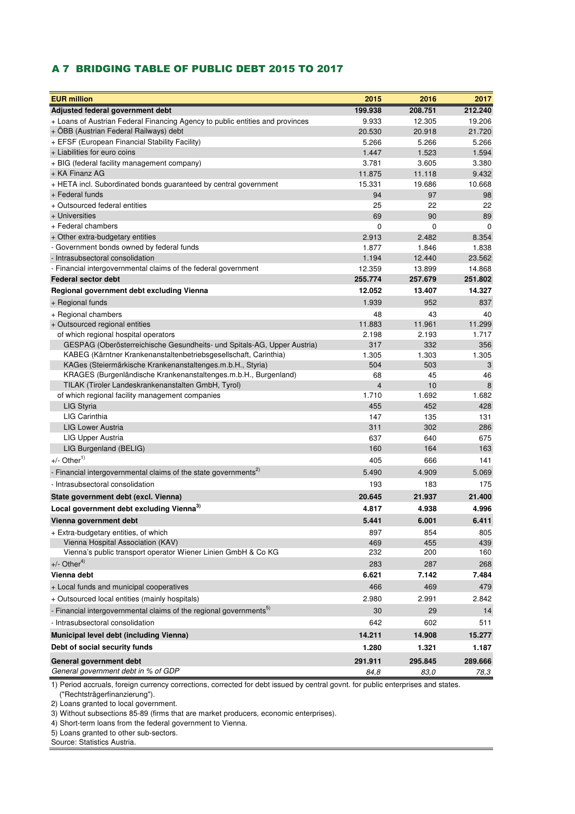#### A 7 BRIDGING TABLE OF PUBLIC DEBT 2015 TO 2017

| <b>EUR million</b>                                                                                                    | 2015                          | 2016        | 2017         |
|-----------------------------------------------------------------------------------------------------------------------|-------------------------------|-------------|--------------|
| Adjusted federal government debt                                                                                      | 199.938                       | 208.751     | 212.240      |
| + Loans of Austrian Federal Financing Agency to public entities and provinces                                         | 9.933                         | 12.305      | 19.206       |
| + OBB (Austrian Federal Railways) debt                                                                                | 20.530                        | 20.918      | 21.720       |
| + EFSF (European Financial Stability Facility)                                                                        | 5.266                         | 5.266       | 5.266        |
| + Liabilities for euro coins                                                                                          | 1.447                         | 1.523       | 1.594        |
| + BIG (federal facility management company)                                                                           | 3.781                         | 3.605       | 3.380        |
| + KA Finanz AG                                                                                                        | 11.875                        | 11.118      | 9.432        |
| + HETA incl. Subordinated bonds guaranteed by central government                                                      | 15.331                        | 19.686      | 10.668       |
| + Federal funds                                                                                                       | 94                            | 97          | 98           |
| + Outsourced federal entities                                                                                         | 25                            | 22          | 22           |
| + Universities                                                                                                        | 69                            | 90          | 89           |
| + Federal chambers                                                                                                    | $\mathbf 0$                   | 0           | $\mathbf 0$  |
| + Other extra-budgetary entities                                                                                      | 2.913                         | 2.482       | 8.354        |
| - Government bonds owned by federal funds                                                                             | 1.877                         | 1.846       | 1.838        |
| - Intrasubsectoral consolidation                                                                                      | 1.194                         | 12.440      | 23.562       |
| - Financial intergovernmental claims of the federal government                                                        | 12.359                        | 13.899      | 14.868       |
| Federal sector debt                                                                                                   | 255.774                       | 257.679     | 251.802      |
| Regional government debt excluding Vienna                                                                             | 12.052                        | 13.407      | 14.327       |
| + Regional funds                                                                                                      | 1.939                         | 952         | 837          |
| + Regional chambers                                                                                                   | 48                            | 43          | 40           |
| + Outsourced regional entities                                                                                        | 11.883                        | 11.961      | 11.299       |
| of which regional hospital operators                                                                                  | 2.198                         | 2.193       | 1.717        |
| GESPAG (Oberösterreichische Gesundheits- und Spitals-AG, Upper Austria)                                               | 317                           | 332         | 356          |
| KABEG (Kärntner Krankenanstaltenbetriebsgesellschaft, Carinthia)                                                      | 1.305                         | 1.303       | 1.305        |
| KAGes (Steiermärkische Krankenanstaltenges.m.b.H., Styria)                                                            | 504                           | 503         | 3            |
| KRAGES (Burgenländische Krankenanstaltenges.m.b.H., Burgenland)<br>TILAK (Tiroler Landeskrankenanstalten GmbH, Tyrol) | 68<br>$\overline{\mathbf{4}}$ | 45          | 46<br>8      |
| of which regional facility management companies                                                                       | 1.710                         | 10<br>1.692 | 1.682        |
| LIG Styria                                                                                                            | 455                           | 452         | 428          |
| LIG Carinthia                                                                                                         | 147                           | 135         | 131          |
| <b>LIG Lower Austria</b>                                                                                              | 311                           | 302         | 286          |
| LIG Upper Austria                                                                                                     | 637                           | 640         | 675          |
| LIG Burgenland (BELIG)                                                                                                | 160                           | 164         | 163          |
| $+/-$ Other <sup>1)</sup>                                                                                             | 405                           | 666         | 141          |
| - Financial intergovernmental claims of the state governments <sup>2)</sup>                                           | 5.490                         | 4.909       | 5.069        |
| - Intrasubsectoral consolidation                                                                                      | 193                           | 183         | 175          |
| State government debt (excl. Vienna)                                                                                  | 20.645                        | 21.937      | 21.400       |
| Local government debt excluding Vienna <sup>3)</sup>                                                                  | 4.817                         | 4.938       | 4.996        |
|                                                                                                                       |                               |             |              |
| Vienna government debt                                                                                                | 5.441                         | 6.001       | 6.411        |
| + Extra-budgetary entities, of which                                                                                  | 897                           | 854         | 805          |
| Vienna Hospital Association (KAV)<br>Vienna's public transport operator Wiener Linien GmbH & Co KG                    | 469<br>232                    | 455<br>200  | 439<br>160   |
| $+/-$ Other <sup>4)</sup>                                                                                             |                               |             |              |
| Vienna debt                                                                                                           | 283                           | 287         | 268<br>7.484 |
|                                                                                                                       | 6.621                         | 7.142       |              |
| + Local funds and municipal cooperatives                                                                              | 466                           | 469         | 479          |
| + Outsourced local entities (mainly hospitals)                                                                        | 2.980                         | 2.991       | 2.842        |
| - Financial intergovernmental claims of the regional governments <sup>5)</sup>                                        | 30                            | 29          | 14           |
| - Intrasubsectoral consolidation                                                                                      | 642                           | 602         | 511          |
| Municipal level debt (including Vienna)                                                                               | 14.211                        | 14.908      | 15.277       |
| Debt of social security funds                                                                                         | 1.280                         | 1.321       | 1.187        |
| General government debt                                                                                               | 291.911                       | 295.845     | 289.666      |
| General government debt in % of GDP                                                                                   | 84,8                          | 83,0        | 78,3         |
|                                                                                                                       |                               |             |              |

1) Period accruals, foreign currency corrections, corrected for debt issued by central govnt. for public enterprises and states. ("Rechtsträgerfinanzierung").

2) Loans granted to local government.

3) Without subsections 85-89 (firms that are market producers, economic enterprises).

4) Short-term loans from the federal government to Vienna.

5) Loans granted to other sub-sectors.

Source: Statistics Austria.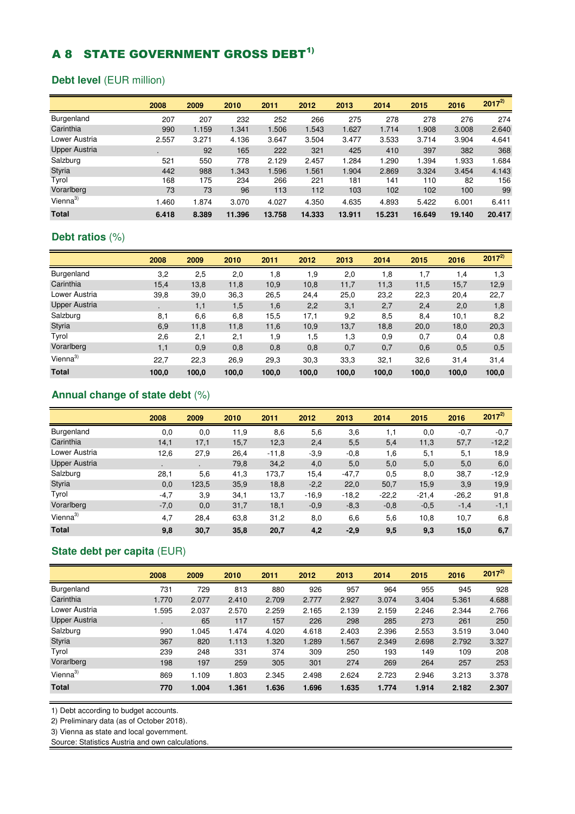# **A 8 STATE GOVERNMENT GROSS DEBT<sup>1)</sup>**

## **Debt level** (EUR million)

|                      | 2008           | 2009  | 2010   | 2011   | 2012   | 2013   | 2014   | 2015   | 2016   | $2017^{2}$ |
|----------------------|----------------|-------|--------|--------|--------|--------|--------|--------|--------|------------|
| Burgenland           | 207            | 207   | 232    | 252    | 266    | 275    | 278    | 278    | 276    | 274        |
| Carinthia            | 990            | 1.159 | 1.341  | 1.506  | 1.543  | 1.627  | 1.714  | 1.908  | 3.008  | 2.640      |
| Lower Austria        | 2.557          | 3.271 | 4.136  | 3.647  | 3.504  | 3.477  | 3.533  | 3.714  | 3.904  | 4.641      |
| <b>Upper Austria</b> | $\blacksquare$ | 92    | 165    | 222    | 321    | 425    | 410    | 397    | 382    | 368        |
| Salzburg             | 521            | 550   | 778    | 2.129  | 2.457  | 1.284  | 1.290  | 1.394  | 1.933  | 1.684      |
| <b>Styria</b>        | 442            | 988   | 1.343  | 1.596  | 1.561  | 1.904  | 2.869  | 3.324  | 3.454  | 4.143      |
| Tyrol                | 168            | 175   | 234    | 266    | 221    | 181    | 141    | 110    | 82     | 156        |
| Vorarlberg           | 73             | 73    | 96     | 113    | 112    | 103    | 102    | 102    | 100    | 99         |
| Vienna <sup>3)</sup> | 1.460          | 1.874 | 3.070  | 4.027  | 4.350  | 4.635  | 4.893  | 5.422  | 6.001  | 6.411      |
| <b>Total</b>         | 6.418          | 8.389 | 11.396 | 13.758 | 14.333 | 13.911 | 15.231 | 16.649 | 19.140 | 20.417     |

## **Debt ratios** (%)

|                      | 2008  | 2009  | 2010  | 2011  | 2012  | 2013  | 2014  | 2015  | 2016  | $2017^{2}$ |
|----------------------|-------|-------|-------|-------|-------|-------|-------|-------|-------|------------|
| Burgenland           | 3,2   | 2,5   | 2,0   | 1,8   | 1,9   | 2,0   | 1,8   | 1,7   | 1,4   | 1,3        |
| Carinthia            | 15,4  | 13,8  | 11,8  | 10,9  | 10,8  | 11,7  | 11,3  | 11,5  | 15,7  | 12,9       |
| Lower Austria        | 39,8  | 39,0  | 36,3  | 26,5  | 24,4  | 25,0  | 23,2  | 22,3  | 20,4  | 22,7       |
| <b>Upper Austria</b> |       | 1,1   | 1,5   | 1,6   | 2,2   | 3,1   | 2,7   | 2,4   | 2,0   | 1,8        |
| Salzburg             | 8,1   | 6,6   | 6,8   | 15,5  | 17,1  | 9,2   | 8,5   | 8,4   | 10,1  | 8,2        |
| <b>Styria</b>        | 6,9   | 11,8  | 11,8  | 11,6  | 10,9  | 13,7  | 18,8  | 20,0  | 18,0  | 20,3       |
| Tyrol                | 2,6   | 2,1   | 2,1   | 1,9   | 1,5   | 1,3   | 0,9   | 0,7   | 0,4   | 0,8        |
| Vorarlberg           | 1,1   | 0,9   | 0,8   | 0,8   | 0,8   | 0,7   | 0,7   | 0,6   | 0,5   | 0,5        |
| Vienna $3)$          | 22,7  | 22,3  | 26,9  | 29,3  | 30.3  | 33,3  | 32,1  | 32,6  | 31,4  | 31,4       |
| <b>Total</b>         | 100,0 | 100,0 | 100,0 | 100,0 | 100,0 | 100,0 | 100,0 | 100,0 | 100,0 | 100,0      |

### **Annual change of state debt** (%)

|                      | 2008      | 2009      | 2010 | 2011    | 2012    | 2013    | 2014    | 2015    | 2016    | $2017^{2}$ |
|----------------------|-----------|-----------|------|---------|---------|---------|---------|---------|---------|------------|
| Burgenland           | 0,0       | 0,0       | 11,9 | 8,6     | 5,6     | 3,6     | 1,1     | 0,0     | $-0,7$  | $-0,7$     |
| Carinthia            | 14,1      | 17,1      | 15,7 | 12,3    | 2,4     | 5,5     | 5,4     | 11,3    | 57,7    | $-12,2$    |
| Lower Austria        | 12,6      | 27,9      | 26,4 | $-11.8$ | $-3.9$  | $-0.8$  | 1,6     | 5,1     | 5,1     | 18,9       |
| <b>Upper Austria</b> | $\bullet$ | $\bullet$ | 79,8 | 34,2    | 4,0     | 5,0     | 5,0     | 5,0     | 5,0     | 6,0        |
| Salzburg             | 28,1      | 5,6       | 41,3 | 173.7   | 15,4    | $-47,7$ | 0,5     | 8,0     | 38,7    | $-12.9$    |
| <b>Styria</b>        | 0,0       | 123,5     | 35,9 | 18,8    | $-2,2$  | 22,0    | 50,7    | 15,9    | 3,9     | 19,9       |
| Tyrol                | $-4,7$    | 3,9       | 34,1 | 13,7    | $-16.9$ | $-18.2$ | $-22.2$ | $-21.4$ | $-26.2$ | 91,8       |
| Vorarlberg           | $-7,0$    | 0,0       | 31,7 | 18,1    | $-0.9$  | $-8,3$  | $-0.8$  | $-0.5$  | $-1,4$  | $-1,1$     |
| Vienna <sup>3)</sup> | 4,7       | 28,4      | 63,8 | 31,2    | 8,0     | 6,6     | 5,6     | 10,8    | 10,7    | 6,8        |
| <b>Total</b>         | 9,8       | 30,7      | 35,8 | 20,7    | 4,2     | $-2,9$  | 9,5     | 9,3     | 15,0    | 6,7        |

# **State debt per capita** (EUR)

|                      | 2008  | 2009  | 2010  | 2011  | 2012  | 2013  | 2014  | 2015  | 2016  | $2017^{2}$ |
|----------------------|-------|-------|-------|-------|-------|-------|-------|-------|-------|------------|
| Burgenland           | 731   | 729   | 813   | 880   | 926   | 957   | 964   | 955   | 945   | 928        |
| Carinthia            | 1.770 | 2.077 | 2.410 | 2.709 | 2.777 | 2.927 | 3.074 | 3.404 | 5.361 | 4.688      |
| Lower Austria        | 1.595 | 2.037 | 2.570 | 2.259 | 2.165 | 2.139 | 2.159 | 2.246 | 2.344 | 2.766      |
| <b>Upper Austria</b> |       | 65    | 117   | 157   | 226   | 298   | 285   | 273   | 261   | 250        |
| Salzburg             | 990   | 1.045 | 1.474 | 4.020 | 4.618 | 2.403 | 2.396 | 2.553 | 3.519 | 3.040      |
| <b>Styria</b>        | 367   | 820   | 1.113 | 1.320 | 1.289 | 1.567 | 2.349 | 2.698 | 2.792 | 3.327      |
| Tyrol                | 239   | 248   | 331   | 374   | 309   | 250   | 193   | 149   | 109   | 208        |
| Vorarlberg           | 198   | 197   | 259   | 305   | 301   | 274   | 269   | 264   | 257   | 253        |
| Vienna <sup>3)</sup> | 869   | 1.109 | 1.803 | 2.345 | 2.498 | 2.624 | 2.723 | 2.946 | 3.213 | 3.378      |
| <b>Total</b>         | 770   | 1.004 | 1.361 | 1.636 | 1.696 | 1.635 | 1.774 | 1.914 | 2.182 | 2.307      |

1) Debt according to budget accounts.

2) Preliminary data (as of October 2018).

3) Vienna as state and local government.

Source: Statistics Austria and own calculations.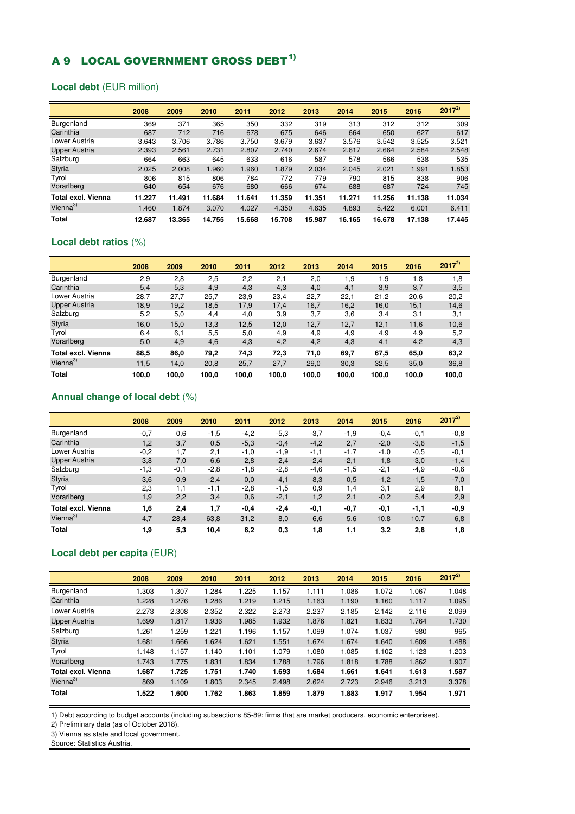# A 9 LOCAL GOVERNMENT GROSS DEBT<sup>1)</sup>

#### **Local debt** (EUR million)

|                           | 2008   | 2009   | 2010   | 2011   | 2012   | 2013   | 2014   | 2015   | 2016   | $2017^{2}$ |
|---------------------------|--------|--------|--------|--------|--------|--------|--------|--------|--------|------------|
| Burgenland                | 369    | 371    | 365    | 350    | 332    | 319    | 313    | 312    | 312    | 309        |
| Carinthia                 | 687    | 712    | 716    | 678    | 675    | 646    | 664    | 650    | 627    | 617        |
| Lower Austria             | 3.643  | 3.706  | 3.786  | 3.750  | 3.679  | 3.637  | 3.576  | 3.542  | 3.525  | 3.521      |
| <b>Upper Austria</b>      | 2.393  | 2.561  | 2.731  | 2.807  | 2.740  | 2.674  | 2.617  | 2.664  | 2.584  | 2.548      |
| Salzburg                  | 664    | 663    | 645    | 633    | 616    | 587    | 578    | 566    | 538    | 535        |
| <b>Styria</b>             | 2.025  | 2.008  | 1.960  | 1.960  | 1.879  | 2.034  | 2.045  | 2.021  | 1.991  | 1.853      |
| Tyrol                     | 806    | 815    | 806    | 784    | 772    | 779    | 790    | 815    | 838    | 906        |
| Vorarlberg                | 640    | 654    | 676    | 680    | 666    | 674    | 688    | 687    | 724    | 745        |
| <b>Total excl. Vienna</b> | 11.227 | 11.491 | 11.684 | 11.641 | 11.359 | 11.351 | 11.271 | 11.256 | 11.138 | 11.034     |
| Vienna $3)$               | 1.460  | 1.874  | 3.070  | 4.027  | 4.350  | 4.635  | 4.893  | 5.422  | 6.001  | 6.411      |
| Total                     | 12.687 | 13.365 | 14.755 | 15.668 | 15.708 | 15.987 | 16.165 | 16.678 | 17.138 | 17.445     |

#### **Local debt ratios** (%)

|                      | 2008  | 2009  | 2010  | 2011  | 2012  | 2013  | 2014  | 2015  | 2016  | $2017^{2}$ |
|----------------------|-------|-------|-------|-------|-------|-------|-------|-------|-------|------------|
| Burgenland           | 2,9   | 2,8   | 2,5   | 2,2   | 2,1   | 2,0   | 1,9   | 1,9   | 1,8   | 1,8        |
| Carinthia            | 5,4   | 5,3   | 4,9   | 4,3   | 4,3   | 4,0   | 4,1   | 3,9   | 3,7   | 3,5        |
| Lower Austria        | 28,7  | 27,7  | 25,7  | 23,9  | 23,4  | 22,7  | 22,1  | 21,2  | 20,6  | 20,2       |
| <b>Upper Austria</b> | 18,9  | 19.2  | 18,5  | 17.9  | 17.4  | 16,7  | 16,2  | 16,0  | 15,1  | 14,6       |
| Salzburg             | 5,2   | 5,0   | 4,4   | 4,0   | 3,9   | 3,7   | 3,6   | 3,4   | 3,1   | 3,1        |
| <b>Styria</b>        | 16,0  | 15,0  | 13,3  | 12,5  | 12,0  | 12,7  | 12,7  | 12,1  | 11,6  | 10,6       |
| Tyrol                | 6,4   | 6,1   | 5,5   | 5,0   | 4,9   | 4,9   | 4,9   | 4,9   | 4,9   | 5,2        |
| Vorarlberg           | 5,0   | 4,9   | 4,6   | 4,3   | 4,2   | 4,2   | 4,3   | 4,1   | 4,2   | 4,3        |
| Total excl. Vienna   | 88,5  | 86,0  | 79,2  | 74,3  | 72,3  | 71,0  | 69,7  | 67,5  | 65,0  | 63,2       |
| Vienna $3)$          | 11,5  | 14,0  | 20,8  | 25,7  | 27,7  | 29,0  | 30,3  | 32,5  | 35,0  | 36,8       |
| <b>Total</b>         | 100.0 | 100,0 | 100,0 | 100,0 | 100,0 | 100,0 | 100,0 | 100,0 | 100,0 | 100,0      |

#### **Annual change of local debt** (%)

|                           | 2008   | 2009   | 2010   | 2011   | 2012   | 2013   | 2014   | 2015   | 2016   | $2017^{2}$ |
|---------------------------|--------|--------|--------|--------|--------|--------|--------|--------|--------|------------|
| Burgenland                | $-0,7$ | 0,6    | $-1,5$ | $-4.2$ | $-5,3$ | $-3,7$ | $-1,9$ | $-0.4$ | $-0,1$ | $-0.8$     |
| Carinthia                 | 1,2    | 3,7    | 0,5    | $-5,3$ | $-0,4$ | $-4,2$ | 2,7    | $-2,0$ | $-3,6$ | $-1,5$     |
| Lower Austria             | $-0.2$ | 1.7    | 2,1    | $-1,0$ | $-1,9$ | $-1,1$ | $-1,7$ | $-1,0$ | $-0.5$ | $-0,1$     |
| <b>Upper Austria</b>      | 3,8    | 7,0    | 6,6    | 2,8    | $-2,4$ | $-2,4$ | $-2,1$ | 1,8    | $-3,0$ | $-1,4$     |
| Salzburg                  | -1.3   | $-0,1$ | $-2,8$ | $-1,8$ | -2,8   | $-4,6$ | $-1,5$ | $-2,1$ | -4,9   | $-0,6$     |
| <b>Styria</b>             | 3,6    | $-0.9$ | $-2,4$ | 0,0    | $-4,1$ | 8,3    | 0,5    | $-1,2$ | $-1,5$ | $-7,0$     |
| Tyrol                     | 2,3    | 1,1    | $-1,1$ | $-2,8$ | $-1,5$ | 0,9    | 1,4    | 3,1    | 2,9    | 8,1        |
| Vorarlberg                | 1,9    | 2,2    | 3,4    | 0,6    | $-2,1$ | 1,2    | 2,1    | $-0,2$ | 5,4    | 2,9        |
| <b>Total excl. Vienna</b> | 1,6    | 2,4    | 1,7    | $-0,4$ | $-2,4$ | -0,1   | $-0,7$ | $-0,1$ | -1,1   | $-0,9$     |
| Vienna $3)$               | 4,7    | 28,4   | 63,8   | 31,2   | 8,0    | 6,6    | 5,6    | 10,8   | 10,7   | 6,8        |
| <b>Total</b>              | 1,9    | 5,3    | 10,4   | 6,2    | 0,3    | 1,8    | 1,1    | 3,2    | 2,8    | 1,8        |

#### **Local debt per capita** (EUR)

|                           | 2008  | 2009  | 2010  | 2011  | 2012  | 2013  | 2014  | 2015  | 2016  | $2017^{2}$ |
|---------------------------|-------|-------|-------|-------|-------|-------|-------|-------|-------|------------|
| Burgenland                | 1.303 | 1.307 | 1.284 | 1.225 | 1.157 | 1.111 | 1.086 | 1.072 | 1.067 | 1.048      |
| Carinthia                 | 1.228 | 1.276 | 1.286 | 1.219 | 1.215 | 1.163 | 1.190 | 1.160 | 1.117 | 1.095      |
| Lower Austria             | 2.273 | 2.308 | 2.352 | 2.322 | 2.273 | 2.237 | 2.185 | 2.142 | 2.116 | 2.099      |
| Upper Austria             | 1.699 | 1.817 | 1.936 | 1.985 | 1.932 | 1.876 | 1.821 | 1.833 | 1.764 | 1.730      |
| Salzburg                  | 1.261 | 1.259 | 1.221 | 1.196 | 1.157 | 1.099 | 1.074 | 1.037 | 980   | 965        |
| <b>Styria</b>             | 1.681 | 1.666 | 1.624 | 1.621 | 1.551 | 1.674 | 1.674 | 1.640 | 1.609 | 1.488      |
| Tyrol                     | 1.148 | 1.157 | 1.140 | 1.101 | 1.079 | 1.080 | 1.085 | 1.102 | 1.123 | 1.203      |
| Vorarlberg                | 1.743 | 1.775 | 1.831 | 1.834 | 1.788 | 1.796 | 1.818 | 1.788 | 1.862 | 1.907      |
| <b>Total excl. Vienna</b> | 1.687 | 1.725 | 1.751 | 1.740 | 1.693 | 1.684 | 1.661 | 1.641 | 1.613 | 1.587      |
| Vienna <sup>3)</sup>      | 869   | 1.109 | 1.803 | 2.345 | 2.498 | 2.624 | 2.723 | 2.946 | 3.213 | 3.378      |
| Total                     | 1.522 | 1.600 | 1.762 | 1.863 | 1.859 | 1.879 | 1.883 | 1.917 | 1.954 | 1.971      |

1) Debt according to budget accounts (including subsections 85-89: firms that are market producers, economic enterprises).

2) Preliminary data (as of October 2018).

3) Vienna as state and local government.

Source: Statistics Austria.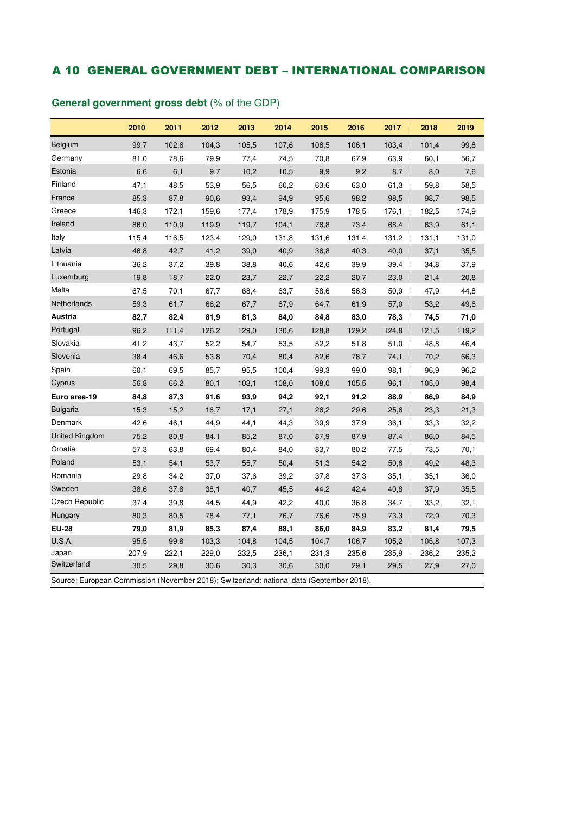## A 10 GENERAL GOVERNMENT DEBT – INTERNATIONAL COMPARISON

|                                                                                           | 2010  | 2011  | 2012  | 2013  | 2014  | 2015  | 2016  | 2017  | 2018  | 2019  |
|-------------------------------------------------------------------------------------------|-------|-------|-------|-------|-------|-------|-------|-------|-------|-------|
| Belgium                                                                                   | 99,7  | 102,6 | 104,3 | 105,5 | 107,6 | 106,5 | 106,1 | 103,4 | 101,4 | 99,8  |
| Germany                                                                                   | 81,0  | 78,6  | 79,9  | 77,4  | 74,5  | 70,8  | 67,9  | 63,9  | 60,1  | 56,7  |
| Estonia                                                                                   | 6,6   | 6,1   | 9,7   | 10,2  | 10,5  | 9,9   | 9,2   | 8,7   | 8,0   | 7,6   |
| Finland                                                                                   | 47,1  | 48,5  | 53,9  | 56,5  | 60,2  | 63,6  | 63,0  | 61,3  | 59,8  | 58,5  |
| France                                                                                    | 85,3  | 87,8  | 90,6  | 93,4  | 94,9  | 95,6  | 98,2  | 98,5  | 98,7  | 98,5  |
| Greece                                                                                    | 146,3 | 172,1 | 159,6 | 177,4 | 178,9 | 175,9 | 178,5 | 176,1 | 182,5 | 174,9 |
| Ireland                                                                                   | 86,0  | 110,9 | 119,9 | 119,7 | 104,1 | 76,8  | 73,4  | 68,4  | 63,9  | 61,1  |
| Italy                                                                                     | 115,4 | 116,5 | 123,4 | 129,0 | 131,8 | 131,6 | 131,4 | 131,2 | 131,1 | 131,0 |
| Latvia                                                                                    | 46,8  | 42,7  | 41,2  | 39,0  | 40,9  | 36,8  | 40,3  | 40,0  | 37,1  | 35,5  |
| Lithuania                                                                                 | 36,2  | 37,2  | 39,8  | 38,8  | 40,6  | 42,6  | 39,9  | 39,4  | 34,8  | 37,9  |
| Luxemburg                                                                                 | 19,8  | 18,7  | 22,0  | 23,7  | 22,7  | 22,2  | 20,7  | 23,0  | 21,4  | 20,8  |
| Malta                                                                                     | 67,5  | 70,1  | 67,7  | 68,4  | 63,7  | 58,6  | 56,3  | 50,9  | 47,9  | 44,8  |
| Netherlands                                                                               | 59,3  | 61,7  | 66,2  | 67,7  | 67,9  | 64,7  | 61,9  | 57,0  | 53,2  | 49,6  |
| Austria                                                                                   | 82,7  | 82,4  | 81,9  | 81,3  | 84,0  | 84,8  | 83,0  | 78,3  | 74,5  | 71,0  |
| Portugal                                                                                  | 96,2  | 111,4 | 126,2 | 129,0 | 130,6 | 128,8 | 129,2 | 124,8 | 121,5 | 119,2 |
| Slovakia                                                                                  | 41,2  | 43,7  | 52,2  | 54,7  | 53,5  | 52,2  | 51,8  | 51,0  | 48,8  | 46,4  |
| Slovenia                                                                                  | 38,4  | 46,6  | 53,8  | 70,4  | 80,4  | 82,6  | 78,7  | 74,1  | 70,2  | 66,3  |
| Spain                                                                                     | 60,1  | 69,5  | 85,7  | 95,5  | 100,4 | 99,3  | 99,0  | 98,1  | 96,9  | 96,2  |
| Cyprus                                                                                    | 56,8  | 66,2  | 80,1  | 103,1 | 108,0 | 108,0 | 105,5 | 96,1  | 105,0 | 98,4  |
| Euro area-19                                                                              | 84,8  | 87,3  | 91,6  | 93,9  | 94,2  | 92,1  | 91,2  | 88,9  | 86,9  | 84,9  |
| <b>Bulgaria</b>                                                                           | 15,3  | 15,2  | 16,7  | 17,1  | 27,1  | 26,2  | 29,6  | 25,6  | 23,3  | 21,3  |
| Denmark                                                                                   | 42,6  | 46,1  | 44,9  | 44,1  | 44,3  | 39,9  | 37,9  | 36,1  | 33,3  | 32,2  |
| United Kingdom                                                                            | 75,2  | 80,8  | 84,1  | 85,2  | 87,0  | 87,9  | 87,9  | 87,4  | 86,0  | 84,5  |
| Croatia                                                                                   | 57,3  | 63,8  | 69,4  | 80,4  | 84,0  | 83,7  | 80,2  | 77,5  | 73,5  | 70,1  |
| Poland                                                                                    | 53,1  | 54,1  | 53,7  | 55,7  | 50,4  | 51,3  | 54,2  | 50,6  | 49,2  | 48,3  |
| Romania                                                                                   | 29,8  | 34,2  | 37,0  | 37,6  | 39,2  | 37,8  | 37,3  | 35,1  | 35,1  | 36,0  |
| Sweden                                                                                    | 38,6  | 37,8  | 38,1  | 40,7  | 45,5  | 44,2  | 42,4  | 40,8  | 37,9  | 35,5  |
| <b>Czech Republic</b>                                                                     | 37,4  | 39,8  | 44,5  | 44,9  | 42,2  | 40,0  | 36,8  | 34,7  | 33,2  | 32,1  |
| Hungary                                                                                   | 80,3  | 80,5  | 78,4  | 77,1  | 76,7  | 76,6  | 75,9  | 73,3  | 72,9  | 70,3  |
| <b>EU-28</b>                                                                              | 79,0  | 81,9  | 85,3  | 87,4  | 88,1  | 86,0  | 84,9  | 83,2  | 81,4  | 79,5  |
| U.S.A.                                                                                    | 95,5  | 99,8  | 103,3 | 104,8 | 104,5 | 104,7 | 106,7 | 105,2 | 105,8 | 107,3 |
| Japan                                                                                     | 207,9 | 222,1 | 229,0 | 232,5 | 236,1 | 231,3 | 235,6 | 235,9 | 236,2 | 235,2 |
| Switzerland                                                                               | 30,5  | 29,8  | 30,6  | 30,3  | 30,6  | 30,0  | 29,1  | 29,5  | 27,9  | 27,0  |
| Source: European Commission (November 2018); Switzerland: national data (September 2018). |       |       |       |       |       |       |       |       |       |       |

## **General government gross debt** (% of the GDP)